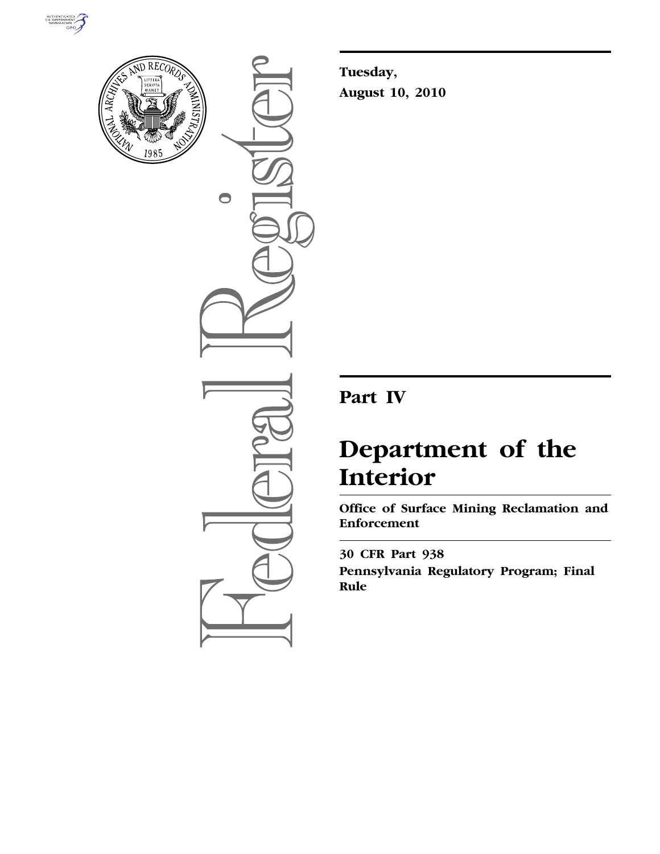



 $\bigcirc$ 

**Tuesday, August 10, 2010** 

## **Part IV**

# **Department of the Interior**

**Office of Surface Mining Reclamation and Enforcement** 

**30 CFR Part 938 Pennsylvania Regulatory Program; Final Rule**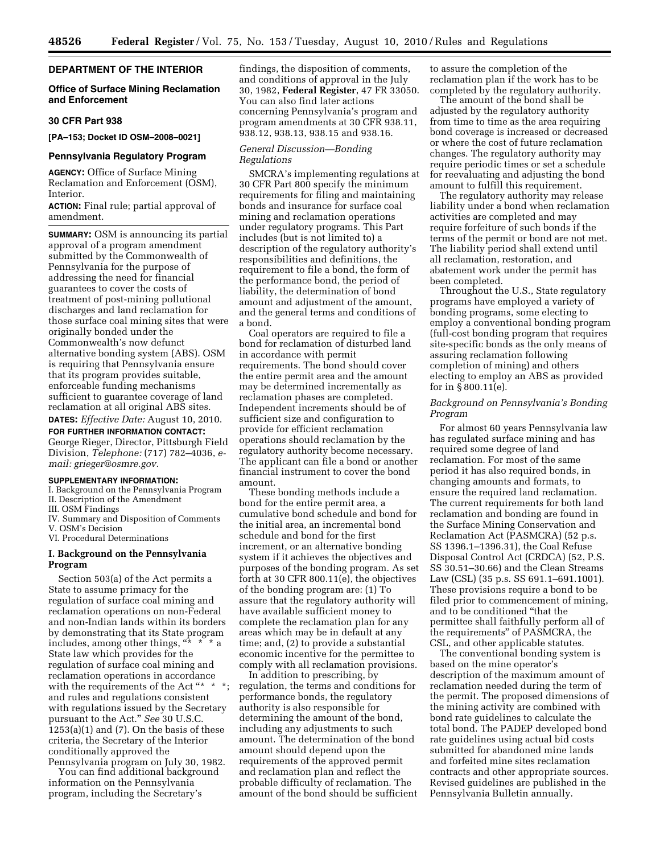#### **DEPARTMENT OF THE INTERIOR**

#### **Office of Surface Mining Reclamation and Enforcement**

#### **30 CFR Part 938**

**[PA–153; Docket ID OSM–2008–0021]** 

#### **Pennsylvania Regulatory Program**

**AGENCY:** Office of Surface Mining Reclamation and Enforcement (OSM), Interior.

**ACTION:** Final rule; partial approval of amendment.

**SUMMARY:** OSM is announcing its partial approval of a program amendment submitted by the Commonwealth of Pennsylvania for the purpose of addressing the need for financial guarantees to cover the costs of treatment of post-mining pollutional discharges and land reclamation for those surface coal mining sites that were originally bonded under the Commonwealth's now defunct alternative bonding system (ABS). OSM is requiring that Pennsylvania ensure that its program provides suitable, enforceable funding mechanisms sufficient to guarantee coverage of land reclamation at all original ABS sites. **DATES:** *Effective Date:* August 10, 2010.

#### **FOR FURTHER INFORMATION CONTACT:**

George Rieger, Director, Pittsburgh Field Division, *Telephone:* (717) 782–4036, *email: [grieger@osmre.gov.](mailto:grieger@osmre.gov)* 

#### **SUPPLEMENTARY INFORMATION:**

I. Background on the Pennsylvania Program II. Description of the Amendment

III. OSM Findings

IV. Summary and Disposition of Comments V. OSM's Decision

VI. Procedural Determinations

#### **I. Background on the Pennsylvania Program**

Section 503(a) of the Act permits a State to assume primacy for the regulation of surface coal mining and reclamation operations on non-Federal and non-Indian lands within its borders by demonstrating that its State program includes, among other things, "\* \* \* a State law which provides for the regulation of surface coal mining and reclamation operations in accordance with the requirements of the Act "\* \* and rules and regulations consistent with regulations issued by the Secretary pursuant to the Act.'' *See* 30 U.S.C.  $1253(a)(1)$  and  $(7)$ . On the basis of these criteria, the Secretary of the Interior conditionally approved the Pennsylvania program on July 30, 1982.

You can find additional background information on the Pennsylvania program, including the Secretary's

findings, the disposition of comments, and conditions of approval in the July 30, 1982, **Federal Register**, 47 FR 33050. You can also find later actions concerning Pennsylvania's program and program amendments at 30 CFR 938.11, 938.12, 938.13, 938.15 and 938.16.

#### *General Discussion—Bonding Regulations*

SMCRA's implementing regulations at 30 CFR Part 800 specify the minimum requirements for filing and maintaining bonds and insurance for surface coal mining and reclamation operations under regulatory programs. This Part includes (but is not limited to) a description of the regulatory authority's responsibilities and definitions, the requirement to file a bond, the form of the performance bond, the period of liability, the determination of bond amount and adjustment of the amount, and the general terms and conditions of a bond.

Coal operators are required to file a bond for reclamation of disturbed land in accordance with permit requirements. The bond should cover the entire permit area and the amount may be determined incrementally as reclamation phases are completed. Independent increments should be of sufficient size and configuration to provide for efficient reclamation operations should reclamation by the regulatory authority become necessary. The applicant can file a bond or another financial instrument to cover the bond amount.

These bonding methods include a bond for the entire permit area, a cumulative bond schedule and bond for the initial area, an incremental bond schedule and bond for the first increment, or an alternative bonding system if it achieves the objectives and purposes of the bonding program. As set forth at 30 CFR 800.11(e), the objectives of the bonding program are: (1) To assure that the regulatory authority will have available sufficient money to complete the reclamation plan for any areas which may be in default at any time; and, (2) to provide a substantial economic incentive for the permittee to comply with all reclamation provisions.

In addition to prescribing, by regulation, the terms and conditions for performance bonds, the regulatory authority is also responsible for determining the amount of the bond, including any adjustments to such amount. The determination of the bond amount should depend upon the requirements of the approved permit and reclamation plan and reflect the probable difficulty of reclamation. The amount of the bond should be sufficient

to assure the completion of the reclamation plan if the work has to be completed by the regulatory authority.

The amount of the bond shall be adjusted by the regulatory authority from time to time as the area requiring bond coverage is increased or decreased or where the cost of future reclamation changes. The regulatory authority may require periodic times or set a schedule for reevaluating and adjusting the bond amount to fulfill this requirement.

The regulatory authority may release liability under a bond when reclamation activities are completed and may require forfeiture of such bonds if the terms of the permit or bond are not met. The liability period shall extend until all reclamation, restoration, and abatement work under the permit has been completed.

Throughout the U.S., State regulatory programs have employed a variety of bonding programs, some electing to employ a conventional bonding program (full-cost bonding program that requires site-specific bonds as the only means of assuring reclamation following completion of mining) and others electing to employ an ABS as provided for in § 800.11(e).

#### *Background on Pennsylvania's Bonding Program*

For almost 60 years Pennsylvania law has regulated surface mining and has required some degree of land reclamation. For most of the same period it has also required bonds, in changing amounts and formats, to ensure the required land reclamation. The current requirements for both land reclamation and bonding are found in the Surface Mining Conservation and Reclamation Act (PASMCRA) (52 p.s. SS 1396.1–1396.31), the Coal Refuse Disposal Control Act (CRDCA) (52, P.S. SS 30.51–30.66) and the Clean Streams Law (CSL) (35 p.s. SS 691.1–691.1001). These provisions require a bond to be filed prior to commencement of mining, and to be conditioned ''that the permittee shall faithfully perform all of the requirements'' of PASMCRA, the CSL, and other applicable statutes.

The conventional bonding system is based on the mine operator's description of the maximum amount of reclamation needed during the term of the permit. The proposed dimensions of the mining activity are combined with bond rate guidelines to calculate the total bond. The PADEP developed bond rate guidelines using actual bid costs submitted for abandoned mine lands and forfeited mine sites reclamation contracts and other appropriate sources. Revised guidelines are published in the Pennsylvania Bulletin annually.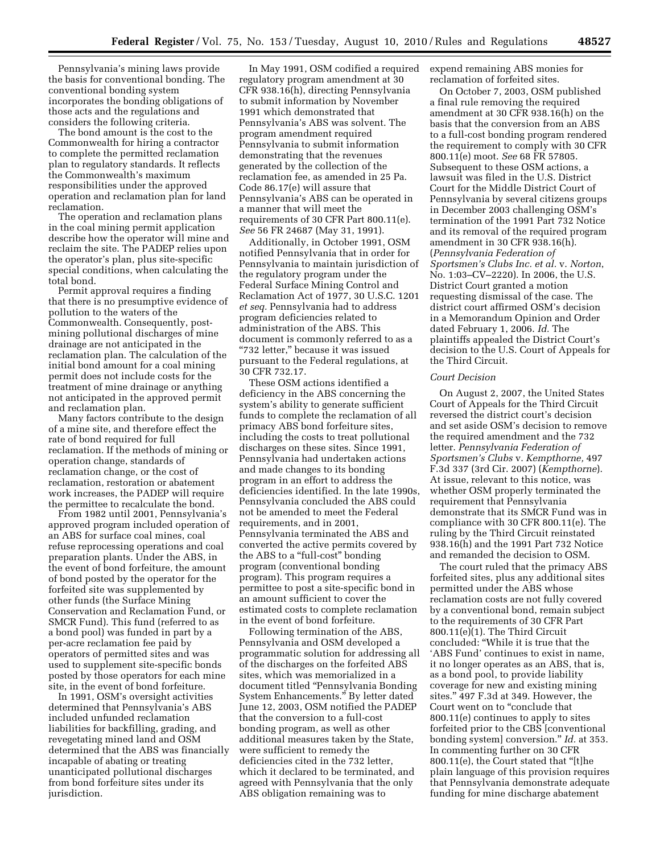Pennsylvania's mining laws provide the basis for conventional bonding. The conventional bonding system incorporates the bonding obligations of those acts and the regulations and considers the following criteria.

The bond amount is the cost to the Commonwealth for hiring a contractor to complete the permitted reclamation plan to regulatory standards. It reflects the Commonwealth's maximum responsibilities under the approved operation and reclamation plan for land reclamation.

The operation and reclamation plans in the coal mining permit application describe how the operator will mine and reclaim the site. The PADEP relies upon the operator's plan, plus site-specific special conditions, when calculating the total bond.

Permit approval requires a finding that there is no presumptive evidence of pollution to the waters of the Commonwealth. Consequently, postmining pollutional discharges of mine drainage are not anticipated in the reclamation plan. The calculation of the initial bond amount for a coal mining permit does not include costs for the treatment of mine drainage or anything not anticipated in the approved permit and reclamation plan.

Many factors contribute to the design of a mine site, and therefore effect the rate of bond required for full reclamation. If the methods of mining or operation change, standards of reclamation change, or the cost of reclamation, restoration or abatement work increases, the PADEP will require the permittee to recalculate the bond.

From 1982 until 2001, Pennsylvania's approved program included operation of an ABS for surface coal mines, coal refuse reprocessing operations and coal preparation plants. Under the ABS, in the event of bond forfeiture, the amount of bond posted by the operator for the forfeited site was supplemented by other funds (the Surface Mining Conservation and Reclamation Fund, or SMCR Fund). This fund (referred to as a bond pool) was funded in part by a per-acre reclamation fee paid by operators of permitted sites and was used to supplement site-specific bonds posted by those operators for each mine site, in the event of bond forfeiture.

In 1991, OSM's oversight activities determined that Pennsylvania's ABS included unfunded reclamation liabilities for backfilling, grading, and revegetating mined land and OSM determined that the ABS was financially incapable of abating or treating unanticipated pollutional discharges from bond forfeiture sites under its jurisdiction.

In May 1991, OSM codified a required regulatory program amendment at 30 CFR 938.16(h), directing Pennsylvania to submit information by November 1991 which demonstrated that Pennsylvania's ABS was solvent. The program amendment required Pennsylvania to submit information demonstrating that the revenues generated by the collection of the reclamation fee, as amended in 25 Pa. Code 86.17(e) will assure that Pennsylvania's ABS can be operated in a manner that will meet the requirements of 30 CFR Part 800.11(e). *See* 56 FR 24687 (May 31, 1991).

Additionally, in October 1991, OSM notified Pennsylvania that in order for Pennsylvania to maintain jurisdiction of the regulatory program under the Federal Surface Mining Control and Reclamation Act of 1977, 30 U.S.C. 1201 *et seq.* Pennsylvania had to address program deficiencies related to administration of the ABS. This document is commonly referred to as a "732 letter," because it was issued pursuant to the Federal regulations, at 30 CFR 732.17.

These OSM actions identified a deficiency in the ABS concerning the system's ability to generate sufficient funds to complete the reclamation of all primacy ABS bond forfeiture sites, including the costs to treat pollutional discharges on these sites. Since 1991, Pennsylvania had undertaken actions and made changes to its bonding program in an effort to address the deficiencies identified. In the late 1990s, Pennsylvania concluded the ABS could not be amended to meet the Federal requirements, and in 2001, Pennsylvania terminated the ABS and converted the active permits covered by the ABS to a ''full-cost'' bonding program (conventional bonding program). This program requires a permittee to post a site-specific bond in an amount sufficient to cover the estimated costs to complete reclamation in the event of bond forfeiture.

Following termination of the ABS, Pennsylvania and OSM developed a programmatic solution for addressing all of the discharges on the forfeited ABS sites, which was memorialized in a document titled ''Pennsylvania Bonding System Enhancements.'' By letter dated June 12, 2003, OSM notified the PADEP that the conversion to a full-cost bonding program, as well as other additional measures taken by the State, were sufficient to remedy the deficiencies cited in the 732 letter, which it declared to be terminated, and agreed with Pennsylvania that the only ABS obligation remaining was to

expend remaining ABS monies for reclamation of forfeited sites.

On October 7, 2003, OSM published a final rule removing the required amendment at 30 CFR 938.16(h) on the basis that the conversion from an ABS to a full-cost bonding program rendered the requirement to comply with 30 CFR 800.11(e) moot. *See* 68 FR 57805. Subsequent to these OSM actions, a lawsuit was filed in the U.S. District Court for the Middle District Court of Pennsylvania by several citizens groups in December 2003 challenging OSM's termination of the 1991 Part 732 Notice and its removal of the required program amendment in 30 CFR 938.16(h). (*Pennsylvania Federation of Sportsmen's Clubs Inc. et al.* v. *Norton*, No. 1:03–CV–2220). In 2006, the U.S. District Court granted a motion requesting dismissal of the case. The district court affirmed OSM's decision in a Memorandum Opinion and Order dated February 1, 2006. *Id.* The plaintiffs appealed the District Court's decision to the U.S. Court of Appeals for the Third Circuit.

#### *Court Decision*

On August 2, 2007, the United States Court of Appeals for the Third Circuit reversed the district court's decision and set aside OSM's decision to remove the required amendment and the 732 letter. *Pennsylvania Federation of Sportsmen's Clubs* v. *Kempthorne,* 497 F.3d 337 (3rd Cir. 2007) (*Kempthorne*). At issue, relevant to this notice, was whether OSM properly terminated the requirement that Pennsylvania demonstrate that its SMCR Fund was in compliance with 30 CFR 800.11(e). The ruling by the Third Circuit reinstated 938.16(h) and the 1991 Part 732 Notice and remanded the decision to OSM.

The court ruled that the primacy ABS forfeited sites, plus any additional sites permitted under the ABS whose reclamation costs are not fully covered by a conventional bond, remain subject to the requirements of 30 CFR Part 800.11(e)(1). The Third Circuit concluded: ''While it is true that the 'ABS Fund' continues to exist in name, it no longer operates as an ABS, that is, as a bond pool, to provide liability coverage for new and existing mining sites.'' 497 F.3d at 349. However, the Court went on to "conclude that 800.11(e) continues to apply to sites forfeited prior to the CBS [conventional bonding system] conversion.'' *Id.* at 353. In commenting further on 30 CFR 800.11(e), the Court stated that ''[t]he plain language of this provision requires that Pennsylvania demonstrate adequate funding for mine discharge abatement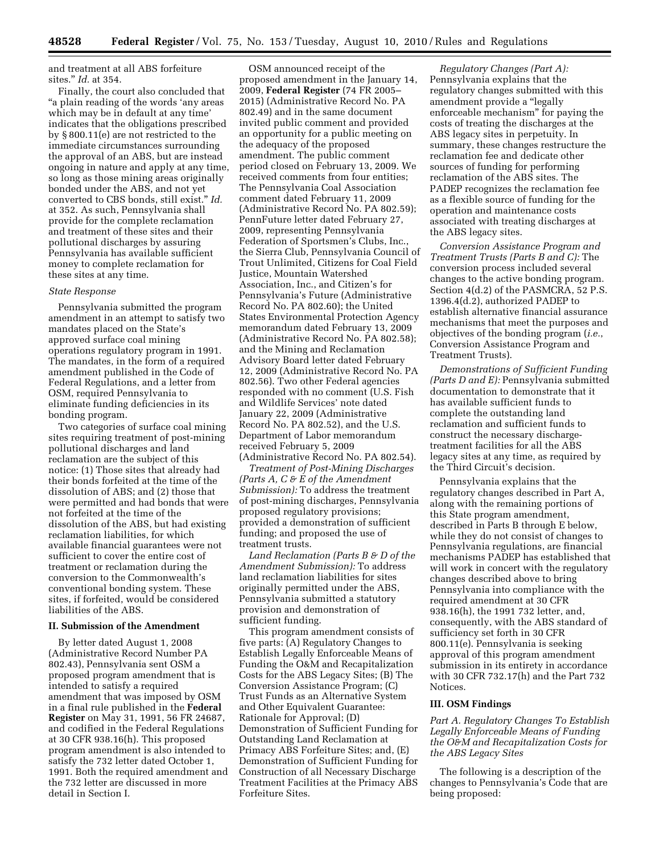and treatment at all ABS forfeiture sites.'' *Id.* at 354.

Finally, the court also concluded that ''a plain reading of the words 'any areas which may be in default at any time' indicates that the obligations prescribed by § 800.11(e) are not restricted to the immediate circumstances surrounding the approval of an ABS, but are instead ongoing in nature and apply at any time, so long as those mining areas originally bonded under the ABS, and not yet converted to CBS bonds, still exist.'' *Id.*  at 352. As such, Pennsylvania shall provide for the complete reclamation and treatment of these sites and their pollutional discharges by assuring Pennsylvania has available sufficient money to complete reclamation for these sites at any time.

#### *State Response*

Pennsylvania submitted the program amendment in an attempt to satisfy two mandates placed on the State's approved surface coal mining operations regulatory program in 1991. The mandates, in the form of a required amendment published in the Code of Federal Regulations, and a letter from OSM, required Pennsylvania to eliminate funding deficiencies in its bonding program.

Two categories of surface coal mining sites requiring treatment of post-mining pollutional discharges and land reclamation are the subject of this notice: (1) Those sites that already had their bonds forfeited at the time of the dissolution of ABS; and (2) those that were permitted and had bonds that were not forfeited at the time of the dissolution of the ABS, but had existing reclamation liabilities, for which available financial guarantees were not sufficient to cover the entire cost of treatment or reclamation during the conversion to the Commonwealth's conventional bonding system. These sites, if forfeited, would be considered liabilities of the ABS.

#### **II. Submission of the Amendment**

By letter dated August 1, 2008 (Administrative Record Number PA 802.43), Pennsylvania sent OSM a proposed program amendment that is intended to satisfy a required amendment that was imposed by OSM in a final rule published in the **Federal Register** on May 31, 1991, 56 FR 24687, and codified in the Federal Regulations at 30 CFR 938.16(h). This proposed program amendment is also intended to satisfy the 732 letter dated October 1, 1991. Both the required amendment and the 732 letter are discussed in more detail in Section I.

OSM announced receipt of the proposed amendment in the January 14, 2009, **Federal Register** (74 FR 2005– 2015) (Administrative Record No. PA 802.49) and in the same document invited public comment and provided an opportunity for a public meeting on the adequacy of the proposed amendment. The public comment period closed on February 13, 2009. We received comments from four entities; The Pennsylvania Coal Association comment dated February 11, 2009 (Administrative Record No. PA 802.59); PennFuture letter dated February 27, 2009, representing Pennsylvania Federation of Sportsmen's Clubs, Inc., the Sierra Club, Pennsylvania Council of Trout Unlimited, Citizens for Coal Field Justice, Mountain Watershed Association, Inc., and Citizen's for Pennsylvania's Future (Administrative Record No. PA 802.60); the United States Environmental Protection Agency memorandum dated February 13, 2009 (Administrative Record No. PA 802.58); and the Mining and Reclamation Advisory Board letter dated February 12, 2009 (Administrative Record No. PA 802.56). Two other Federal agencies responded with no comment (U.S. Fish and Wildlife Services' note dated January 22, 2009 (Administrative Record No. PA 802.52), and the U.S. Department of Labor memorandum received February 5, 2009 (Administrative Record No. PA 802.54).

*Treatment of Post-Mining Discharges (Parts A, C & E of the Amendment Submission):* To address the treatment of post-mining discharges, Pennsylvania proposed regulatory provisions; provided a demonstration of sufficient funding; and proposed the use of treatment trusts.

*Land Reclamation (Parts B & D of the Amendment Submission):* To address land reclamation liabilities for sites originally permitted under the ABS, Pennsylvania submitted a statutory provision and demonstration of sufficient funding.

This program amendment consists of five parts: (A) Regulatory Changes to Establish Legally Enforceable Means of Funding the O&M and Recapitalization Costs for the ABS Legacy Sites; (B) The Conversion Assistance Program; (C) Trust Funds as an Alternative System and Other Equivalent Guarantee: Rationale for Approval; (D) Demonstration of Sufficient Funding for Outstanding Land Reclamation at Primacy ABS Forfeiture Sites; and, (E) Demonstration of Sufficient Funding for Construction of all Necessary Discharge Treatment Facilities at the Primacy ABS Forfeiture Sites.

*Regulatory Changes (Part A):*  Pennsylvania explains that the regulatory changes submitted with this amendment provide a ''legally enforceable mechanism'' for paying the costs of treating the discharges at the ABS legacy sites in perpetuity. In summary, these changes restructure the reclamation fee and dedicate other sources of funding for performing reclamation of the ABS sites. The PADEP recognizes the reclamation fee as a flexible source of funding for the operation and maintenance costs associated with treating discharges at the ABS legacy sites.

*Conversion Assistance Program and Treatment Trusts (Parts B and C):* The conversion process included several changes to the active bonding program. Section 4(d.2) of the PASMCRA, 52 P.S. 1396.4(d.2), authorized PADEP to establish alternative financial assurance mechanisms that meet the purposes and objectives of the bonding program (*i.e.*, Conversion Assistance Program and Treatment Trusts).

*Demonstrations of Sufficient Funding (Parts D and E):* Pennsylvania submitted documentation to demonstrate that it has available sufficient funds to complete the outstanding land reclamation and sufficient funds to construct the necessary dischargetreatment facilities for all the ABS legacy sites at any time, as required by the Third Circuit's decision.

Pennsylvania explains that the regulatory changes described in Part A, along with the remaining portions of this State program amendment, described in Parts B through E below, while they do not consist of changes to Pennsylvania regulations, are financial mechanisms PADEP has established that will work in concert with the regulatory changes described above to bring Pennsylvania into compliance with the required amendment at 30 CFR 938.16(h), the 1991 732 letter, and, consequently, with the ABS standard of sufficiency set forth in 30 CFR 800.11(e). Pennsylvania is seeking approval of this program amendment submission in its entirety in accordance with 30 CFR 732.17(h) and the Part 732 Notices.

#### **III. OSM Findings**

*Part A. Regulatory Changes To Establish Legally Enforceable Means of Funding the O&M and Recapitalization Costs for the ABS Legacy Sites* 

The following is a description of the changes to Pennsylvania's Code that are being proposed: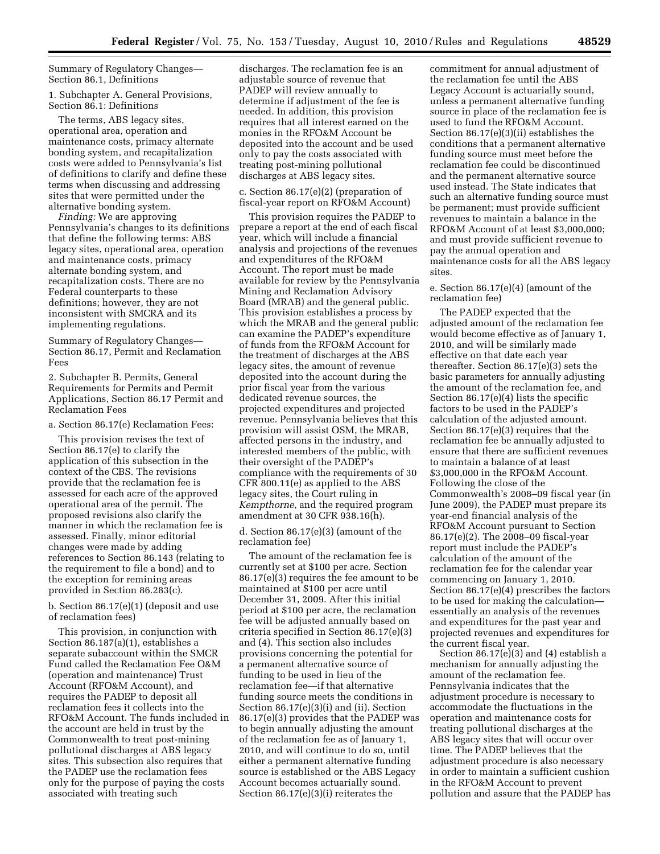Summary of Regulatory Changes— Section 86.1, Definitions

1. Subchapter A. General Provisions, Section 86.1: Definitions

The terms, ABS legacy sites, operational area, operation and maintenance costs, primacy alternate bonding system, and recapitalization costs were added to Pennsylvania's list of definitions to clarify and define these terms when discussing and addressing sites that were permitted under the alternative bonding system.

*Finding:* We are approving Pennsylvania's changes to its definitions that define the following terms: ABS legacy sites, operational area, operation and maintenance costs, primacy alternate bonding system, and recapitalization costs. There are no Federal counterparts to these definitions; however, they are not inconsistent with SMCRA and its implementing regulations.

Summary of Regulatory Changes— Section 86.17, Permit and Reclamation Fees

2. Subchapter B. Permits, General Requirements for Permits and Permit Applications, Section 86.17 Permit and Reclamation Fees

a. Section 86.17(e) Reclamation Fees:

This provision revises the text of Section 86.17(e) to clarify the application of this subsection in the context of the CBS. The revisions provide that the reclamation fee is assessed for each acre of the approved operational area of the permit. The proposed revisions also clarify the manner in which the reclamation fee is assessed. Finally, minor editorial changes were made by adding references to Section 86.143 (relating to the requirement to file a bond) and to the exception for remining areas provided in Section 86.283(c).

b. Section 86.17(e)(1) (deposit and use of reclamation fees)

This provision, in conjunction with Section 86.187(a)(1), establishes a separate subaccount within the SMCR Fund called the Reclamation Fee O&M (operation and maintenance) Trust Account (RFO&M Account), and requires the PADEP to deposit all reclamation fees it collects into the RFO&M Account. The funds included in the account are held in trust by the Commonwealth to treat post-mining pollutional discharges at ABS legacy sites. This subsection also requires that the PADEP use the reclamation fees only for the purpose of paying the costs associated with treating such

discharges. The reclamation fee is an adjustable source of revenue that PADEP will review annually to determine if adjustment of the fee is needed. In addition, this provision requires that all interest earned on the monies in the RFO&M Account be deposited into the account and be used only to pay the costs associated with treating post-mining pollutional discharges at ABS legacy sites.

c. Section 86.17(e)(2) (preparation of fiscal-year report on RFO&M Account)

This provision requires the PADEP to prepare a report at the end of each fiscal year, which will include a financial analysis and projections of the revenues and expenditures of the RFO&M Account. The report must be made available for review by the Pennsylvania Mining and Reclamation Advisory Board (MRAB) and the general public. This provision establishes a process by which the MRAB and the general public can examine the PADEP's expenditure of funds from the RFO&M Account for the treatment of discharges at the ABS legacy sites, the amount of revenue deposited into the account during the prior fiscal year from the various dedicated revenue sources, the projected expenditures and projected revenue. Pennsylvania believes that this provision will assist OSM, the MRAB, affected persons in the industry, and interested members of the public, with their oversight of the PADEP's compliance with the requirements of 30 CFR 800.11(e) as applied to the ABS legacy sites, the Court ruling in *Kempthorne,* and the required program amendment at 30 CFR 938.16(h).

d. Section 86.17(e)(3) (amount of the reclamation fee)

The amount of the reclamation fee is currently set at \$100 per acre. Section 86.17(e)(3) requires the fee amount to be maintained at \$100 per acre until December 31, 2009. After this initial period at \$100 per acre, the reclamation fee will be adjusted annually based on criteria specified in Section 86.17(e)(3) and (4). This section also includes provisions concerning the potential for a permanent alternative source of funding to be used in lieu of the reclamation fee—if that alternative funding source meets the conditions in Section 86.17(e)(3)(i) and (ii). Section 86.17(e)(3) provides that the PADEP was to begin annually adjusting the amount of the reclamation fee as of January 1, 2010, and will continue to do so, until either a permanent alternative funding source is established or the ABS Legacy Account becomes actuarially sound. Section 86.17(e)(3)(i) reiterates the

commitment for annual adjustment of the reclamation fee until the ABS Legacy Account is actuarially sound, unless a permanent alternative funding source in place of the reclamation fee is used to fund the RFO&M Account. Section 86.17(e)(3)(ii) establishes the conditions that a permanent alternative funding source must meet before the reclamation fee could be discontinued and the permanent alternative source used instead. The State indicates that such an alternative funding source must be permanent; must provide sufficient revenues to maintain a balance in the RFO&M Account of at least \$3,000,000; and must provide sufficient revenue to pay the annual operation and maintenance costs for all the ABS legacy sites.

e. Section 86.17(e)(4) (amount of the reclamation fee)

The PADEP expected that the adjusted amount of the reclamation fee would become effective as of January 1, 2010, and will be similarly made effective on that date each year thereafter. Section 86.17(e)(3) sets the basic parameters for annually adjusting the amount of the reclamation fee, and Section 86.17(e)(4) lists the specific factors to be used in the PADEP's calculation of the adjusted amount. Section 86.17(e)(3) requires that the reclamation fee be annually adjusted to ensure that there are sufficient revenues to maintain a balance of at least \$3,000,000 in the RFO&M Account. Following the close of the Commonwealth's 2008–09 fiscal year (in June 2009), the PADEP must prepare its year-end financial analysis of the RFO&M Account pursuant to Section 86.17(e)(2). The 2008–09 fiscal-year report must include the PADEP's calculation of the amount of the reclamation fee for the calendar year commencing on January 1, 2010. Section 86.17(e)(4) prescribes the factors to be used for making the calculation essentially an analysis of the revenues and expenditures for the past year and projected revenues and expenditures for the current fiscal year.

Section  $86.17(e)(3)$  and  $(4)$  establish a mechanism for annually adjusting the amount of the reclamation fee. Pennsylvania indicates that the adjustment procedure is necessary to accommodate the fluctuations in the operation and maintenance costs for treating pollutional discharges at the ABS legacy sites that will occur over time. The PADEP believes that the adjustment procedure is also necessary in order to maintain a sufficient cushion in the RFO&M Account to prevent pollution and assure that the PADEP has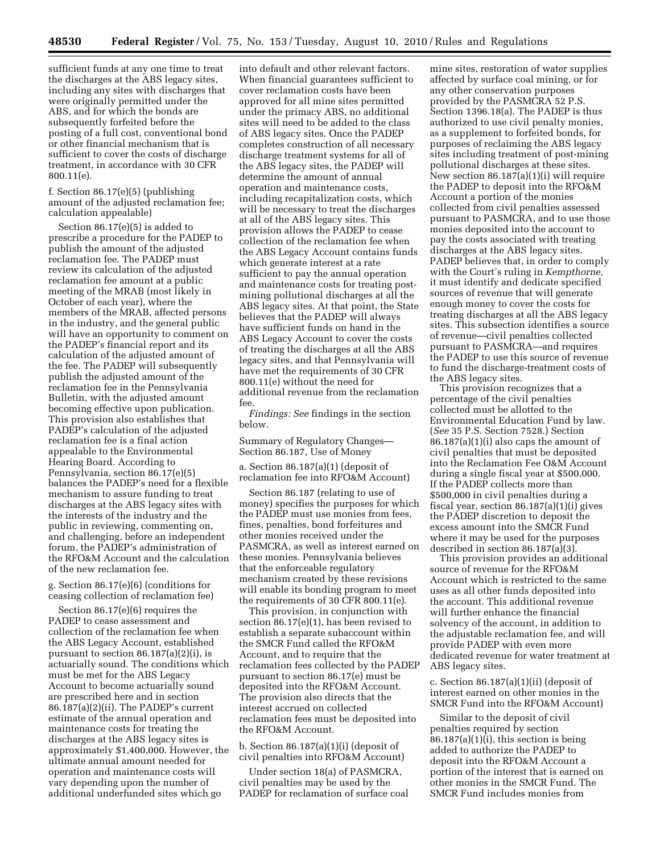sufficient funds at any one time to treat the discharges at the ABS legacy sites, including any sites with discharges that were originally permitted under the ABS, and for which the bonds are subsequently forfeited before the posting of a full cost, conventional bond or other financial mechanism that is sufficient to cover the costs of discharge treatment, in accordance with 30 CFR 800.11(e).

f. Section 86.17(e)(5) (publishing amount of the adjusted reclamation fee; calculation appealable)

Section 86.17(e)(5) is added to prescribe a procedure for the PADEP to publish the amount of the adjusted reclamation fee. The PADEP must review its calculation of the adjusted reclamation fee amount at a public meeting of the MRAB (most likely in October of each year), where the members of the MRAB, affected persons in the industry, and the general public will have an opportunity to comment on the PADEP's financial report and its calculation of the adjusted amount of the fee. The PADEP will subsequently publish the adjusted amount of the reclamation fee in the Pennsylvania Bulletin, with the adjusted amount becoming effective upon publication. This provision also establishes that PADEP's calculation of the adjusted reclamation fee is a final action appealable to the Environmental Hearing Board. According to Pennsylvania, section 86.17(e)(5) balances the PADEP's need for a flexible mechanism to assure funding to treat discharges at the ABS legacy sites with the interests of the industry and the public in reviewing, commenting on, and challenging, before an independent forum, the PADEP's administration of the RFO&M Account and the calculation of the new reclamation fee.

g. Section 86.17(e)(6) (conditions for ceasing collection of reclamation fee)

Section 86.17(e)(6) requires the PADEP to cease assessment and collection of the reclamation fee when the ABS Legacy Account, established pursuant to section 86.187(a)(2)(i), is actuarially sound. The conditions which must be met for the ABS Legacy Account to become actuarially sound are prescribed here and in section 86.187(a)(2)(ii). The PADEP's current estimate of the annual operation and maintenance costs for treating the discharges at the ABS legacy sites is approximately \$1,400,000. However, the ultimate annual amount needed for operation and maintenance costs will vary depending upon the number of additional underfunded sites which go

into default and other relevant factors. When financial guarantees sufficient to cover reclamation costs have been approved for all mine sites permitted under the primacy ABS, no additional sites will need to be added to the class of ABS legacy sites. Once the PADEP completes construction of all necessary discharge treatment systems for all of the ABS legacy sites, the PADEP will determine the amount of annual operation and maintenance costs, including recapitalization costs, which will be necessary to treat the discharges at all of the ABS legacy sites. This provision allows the PADEP to cease collection of the reclamation fee when the ABS Legacy Account contains funds which generate interest at a rate sufficient to pay the annual operation and maintenance costs for treating postmining pollutional discharges at all the ABS legacy sites. At that point, the State believes that the PADEP will always have sufficient funds on hand in the ABS Legacy Account to cover the costs of treating the discharges at all the ABS legacy sites, and that Pennsylvania will have met the requirements of 30 CFR 800.11(e) without the need for additional revenue from the reclamation fee.

*Findings: See* findings in the section below.

Summary of Regulatory Changes— Section 86.187, Use of Money

a. Section 86.187(a)(1) (deposit of reclamation fee into RFO&M Account)

Section 86.187 (relating to use of money) specifies the purposes for which the PADEP must use monies from fees, fines, penalties, bond forfeitures and other monies received under the PASMCRA, as well as interest earned on these monies. Pennsylvania believes that the enforceable regulatory mechanism created by these revisions will enable its bonding program to meet the requirements of 30 CFR 800.11(e).

This provision, in conjunction with section 86.17(e)(1), has been revised to establish a separate subaccount within the SMCR Fund called the RFO&M Account, and to require that the reclamation fees collected by the PADEP pursuant to section 86.17(e) must be deposited into the RFO&M Account. The provision also directs that the interest accrued on collected reclamation fees must be deposited into the RFO&M Account.

b. Section 86.187(a)(1)(i) (deposit of civil penalties into RFO&M Account)

Under section 18(a) of PASMCRA, civil penalties may be used by the PADEP for reclamation of surface coal

mine sites, restoration of water supplies affected by surface coal mining, or for any other conservation purposes provided by the PASMCRA 52 P.S. Section 1396.18(a). The PADEP is thus authorized to use civil penalty monies, as a supplement to forfeited bonds, for purposes of reclaiming the ABS legacy sites including treatment of post-mining pollutional discharges at these sites. New section 86.187(a)(1)(i) will require the PADEP to deposit into the RFO&M Account a portion of the monies collected from civil penalties assessed pursuant to PASMCRA, and to use those monies deposited into the account to pay the costs associated with treating discharges at the ABS legacy sites. PADEP believes that, in order to comply with the Court's ruling in *Kempthorne,*  it must identify and dedicate specified sources of revenue that will generate enough money to cover the costs for treating discharges at all the ABS legacy sites. This subsection identifies a source of revenue—civil penalties collected pursuant to PASMCRA—and requires the PADEP to use this source of revenue to fund the discharge-treatment costs of the ABS legacy sites.

This provision recognizes that a percentage of the civil penalties collected must be allotted to the Environmental Education Fund by law. (*See* 35 P.S. Section 7528.) Section 86.187(a)(1)(i) also caps the amount of civil penalties that must be deposited into the Reclamation Fee O&M Account during a single fiscal year at \$500,000. If the PADEP collects more than \$500,000 in civil penalties during a fiscal year, section 86.187(a)(1)(i) gives the PADEP discretion to deposit the excess amount into the SMCR Fund where it may be used for the purposes described in section 86.187(a)(3).

This provision provides an additional source of revenue for the RFO&M Account which is restricted to the same uses as all other funds deposited into the account. This additional revenue will further enhance the financial solvency of the account, in addition to the adjustable reclamation fee, and will provide PADEP with even more dedicated revenue for water treatment at ABS legacy sites.

c. Section 86.187(a)(1)(ii) (deposit of interest earned on other monies in the SMCR Fund into the RFO&M Account)

Similar to the deposit of civil penalties required by section  $86.187(a)(1)(i)$ , this section is being added to authorize the PADEP to deposit into the RFO&M Account a portion of the interest that is earned on other monies in the SMCR Fund. The SMCR Fund includes monies from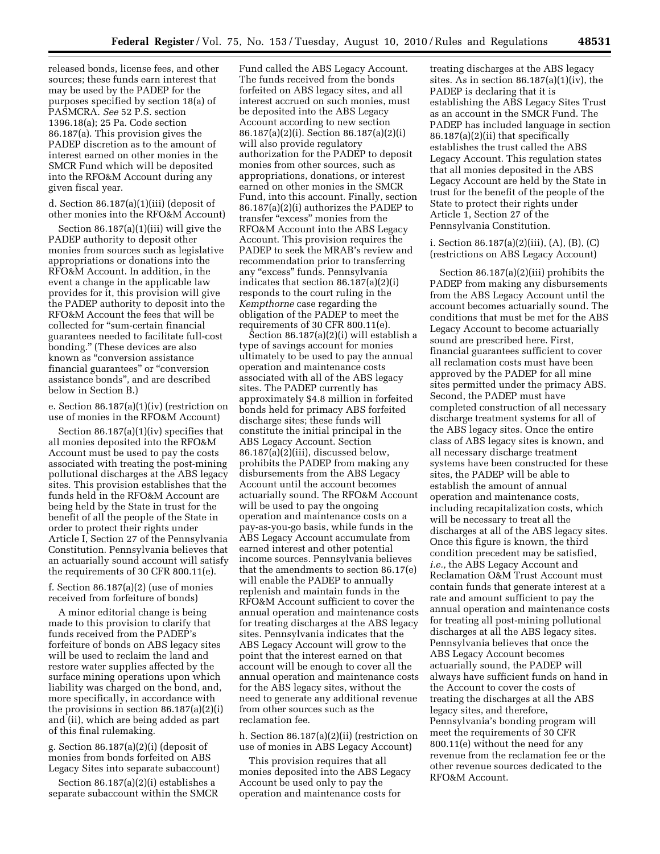released bonds, license fees, and other sources; these funds earn interest that may be used by the PADEP for the purposes specified by section 18(a) of PASMCRA. *See* 52 P.S. section 1396.18(a); 25 Pa. Code section 86.187(a). This provision gives the PADEP discretion as to the amount of interest earned on other monies in the SMCR Fund which will be deposited into the RFO&M Account during any given fiscal year.

d. Section 86.187(a)(1)(iii) (deposit of other monies into the RFO&M Account)

Section 86.187(a)(1)(iii) will give the PADEP authority to deposit other monies from sources such as legislative appropriations or donations into the RFO&M Account. In addition, in the event a change in the applicable law provides for it, this provision will give the PADEP authority to deposit into the RFO&M Account the fees that will be collected for ''sum-certain financial guarantees needed to facilitate full-cost bonding.'' (These devices are also known as ''conversion assistance financial guarantees" or "conversion assistance bonds'', and are described below in Section B.)

e. Section 86.187(a)(1)(iv) (restriction on use of monies in the RFO&M Account)

Section 86.187(a)(1)(iv) specifies that all monies deposited into the RFO&M Account must be used to pay the costs associated with treating the post-mining pollutional discharges at the ABS legacy sites. This provision establishes that the funds held in the RFO&M Account are being held by the State in trust for the benefit of all the people of the State in order to protect their rights under Article I, Section 27 of the Pennsylvania Constitution. Pennsylvania believes that an actuarially sound account will satisfy the requirements of 30 CFR 800.11(e).

#### f. Section 86.187(a)(2) (use of monies received from forfeiture of bonds)

A minor editorial change is being made to this provision to clarify that funds received from the PADEP's forfeiture of bonds on ABS legacy sites will be used to reclaim the land and restore water supplies affected by the surface mining operations upon which liability was charged on the bond, and, more specifically, in accordance with the provisions in section 86.187(a)(2)(i) and (ii), which are being added as part of this final rulemaking.

g. Section 86.187(a)(2)(i) (deposit of monies from bonds forfeited on ABS Legacy Sites into separate subaccount)

Section 86.187(a)(2)(i) establishes a separate subaccount within the SMCR

Fund called the ABS Legacy Account. The funds received from the bonds forfeited on ABS legacy sites, and all interest accrued on such monies, must be deposited into the ABS Legacy Account according to new section 86.187(a)(2)(i). Section 86.187(a)(2)(i) will also provide regulatory authorization for the PADEP to deposit monies from other sources, such as appropriations, donations, or interest earned on other monies in the SMCR Fund, into this account. Finally, section 86.187(a)(2)(i) authorizes the PADEP to transfer "excess" monies from the RFO&M Account into the ABS Legacy Account. This provision requires the PADEP to seek the MRAB's review and recommendation prior to transferring any ''excess'' funds. Pennsylvania indicates that section 86.187(a)(2)(i) responds to the court ruling in the *Kempthorne* case regarding the obligation of the PADEP to meet the requirements of 30 CFR 800.11(e).

Section 86.187(a)(2)(i) will establish a type of savings account for monies ultimately to be used to pay the annual operation and maintenance costs associated with all of the ABS legacy sites. The PADEP currently has approximately \$4.8 million in forfeited bonds held for primacy ABS forfeited discharge sites; these funds will constitute the initial principal in the ABS Legacy Account. Section 86.187(a)(2)(iii), discussed below, prohibits the PADEP from making any disbursements from the ABS Legacy Account until the account becomes actuarially sound. The RFO&M Account will be used to pay the ongoing operation and maintenance costs on a pay-as-you-go basis, while funds in the ABS Legacy Account accumulate from earned interest and other potential income sources. Pennsylvania believes that the amendments to section 86.17(e) will enable the PADEP to annually replenish and maintain funds in the RFO&M Account sufficient to cover the annual operation and maintenance costs for treating discharges at the ABS legacy sites. Pennsylvania indicates that the ABS Legacy Account will grow to the point that the interest earned on that account will be enough to cover all the annual operation and maintenance costs for the ABS legacy sites, without the need to generate any additional revenue from other sources such as the reclamation fee.

h. Section 86.187(a)(2)(ii) (restriction on use of monies in ABS Legacy Account)

This provision requires that all monies deposited into the ABS Legacy Account be used only to pay the operation and maintenance costs for

treating discharges at the ABS legacy sites. As in section 86.187(a)(1)(iv), the PADEP is declaring that it is establishing the ABS Legacy Sites Trust as an account in the SMCR Fund. The PADEP has included language in section 86.187(a)(2)(ii) that specifically establishes the trust called the ABS Legacy Account. This regulation states that all monies deposited in the ABS Legacy Account are held by the State in trust for the benefit of the people of the State to protect their rights under Article 1, Section 27 of the Pennsylvania Constitution.

i. Section 86.187(a)(2)(iii), (A), (B), (C) (restrictions on ABS Legacy Account)

Section 86.187(a)(2)(iii) prohibits the PADEP from making any disbursements from the ABS Legacy Account until the account becomes actuarially sound. The conditions that must be met for the ABS Legacy Account to become actuarially sound are prescribed here. First, financial guarantees sufficient to cover all reclamation costs must have been approved by the PADEP for all mine sites permitted under the primacy ABS. Second, the PADEP must have completed construction of all necessary discharge treatment systems for all of the ABS legacy sites. Once the entire class of ABS legacy sites is known, and all necessary discharge treatment systems have been constructed for these sites, the PADEP will be able to establish the amount of annual operation and maintenance costs, including recapitalization costs, which will be necessary to treat all the discharges at all of the ABS legacy sites. Once this figure is known, the third condition precedent may be satisfied, *i.e.,* the ABS Legacy Account and Reclamation O&M Trust Account must contain funds that generate interest at a rate and amount sufficient to pay the annual operation and maintenance costs for treating all post-mining pollutional discharges at all the ABS legacy sites. Pennsylvania believes that once the ABS Legacy Account becomes actuarially sound, the PADEP will always have sufficient funds on hand in the Account to cover the costs of treating the discharges at all the ABS legacy sites, and therefore, Pennsylvania's bonding program will meet the requirements of 30 CFR 800.11(e) without the need for any revenue from the reclamation fee or the other revenue sources dedicated to the RFO&M Account.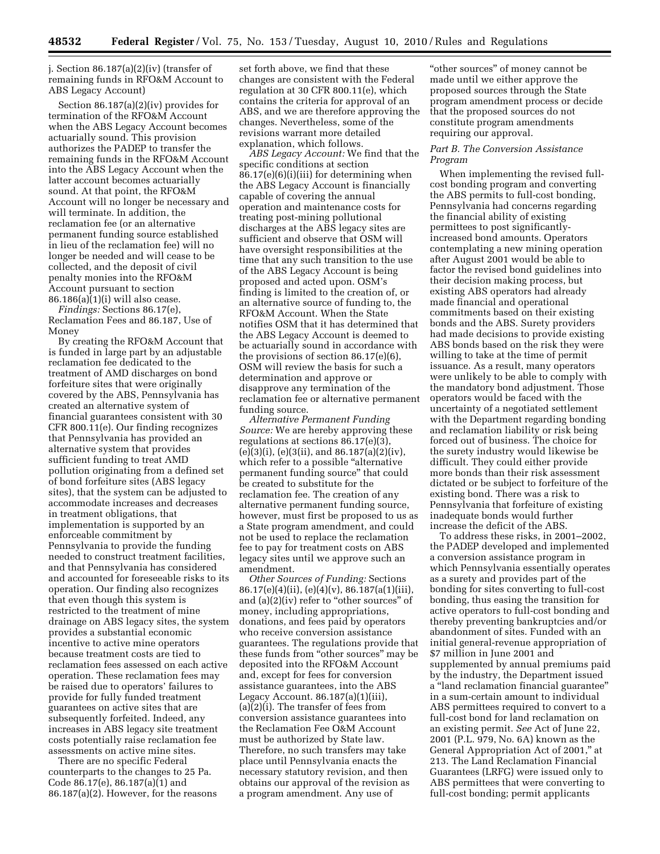j. Section 86.187(a)(2)(iv) (transfer of remaining funds in RFO&M Account to ABS Legacy Account)

Section 86.187(a)(2)(iv) provides for termination of the RFO&M Account when the ABS Legacy Account becomes actuarially sound. This provision authorizes the PADEP to transfer the remaining funds in the RFO&M Account into the ABS Legacy Account when the latter account becomes actuarially sound. At that point, the RFO&M Account will no longer be necessary and will terminate. In addition, the reclamation fee (or an alternative permanent funding source established in lieu of the reclamation fee) will no longer be needed and will cease to be collected, and the deposit of civil penalty monies into the RFO&M Account pursuant to section 86.186(a)(1)(i) will also cease.

*Findings:* Sections 86.17(e), Reclamation Fees and 86.187, Use of Money

By creating the RFO&M Account that is funded in large part by an adjustable reclamation fee dedicated to the treatment of AMD discharges on bond forfeiture sites that were originally covered by the ABS, Pennsylvania has created an alternative system of financial guarantees consistent with 30 CFR 800.11(e). Our finding recognizes that Pennsylvania has provided an alternative system that provides sufficient funding to treat AMD pollution originating from a defined set of bond forfeiture sites (ABS legacy sites), that the system can be adjusted to accommodate increases and decreases in treatment obligations, that implementation is supported by an enforceable commitment by Pennsylvania to provide the funding needed to construct treatment facilities, and that Pennsylvania has considered and accounted for foreseeable risks to its operation. Our finding also recognizes that even though this system is restricted to the treatment of mine drainage on ABS legacy sites, the system provides a substantial economic incentive to active mine operators because treatment costs are tied to reclamation fees assessed on each active operation. These reclamation fees may be raised due to operators' failures to provide for fully funded treatment guarantees on active sites that are subsequently forfeited. Indeed, any increases in ABS legacy site treatment costs potentially raise reclamation fee assessments on active mine sites.

There are no specific Federal counterparts to the changes to 25 Pa. Code 86.17(e), 86.187(a)(1) and 86.187(a)(2). However, for the reasons

set forth above, we find that these changes are consistent with the Federal regulation at 30 CFR 800.11(e), which contains the criteria for approval of an ABS, and we are therefore approving the changes. Nevertheless, some of the revisions warrant more detailed explanation, which follows.

*ABS Legacy Account:* We find that the specific conditions at section 86.17(e)(6)(i)(iii) for determining when the ABS Legacy Account is financially capable of covering the annual operation and maintenance costs for treating post-mining pollutional discharges at the ABS legacy sites are sufficient and observe that OSM will have oversight responsibilities at the time that any such transition to the use of the ABS Legacy Account is being proposed and acted upon. OSM's finding is limited to the creation of, or an alternative source of funding to, the RFO&M Account. When the State notifies OSM that it has determined that the ABS Legacy Account is deemed to be actuarially sound in accordance with the provisions of section 86.17(e)(6), OSM will review the basis for such a determination and approve or disapprove any termination of the reclamation fee or alternative permanent funding source.

*Alternative Permanent Funding Source:* We are hereby approving these regulations at sections 86.17(e)(3), (e)(3)(i), (e)(3(ii), and 86.187(a)(2)(iv), which refer to a possible "alternative" permanent funding source'' that could be created to substitute for the reclamation fee. The creation of any alternative permanent funding source, however, must first be proposed to us as a State program amendment, and could not be used to replace the reclamation fee to pay for treatment costs on ABS legacy sites until we approve such an amendment.

*Other Sources of Funding:* Sections 86.17(e)(4)(ii), (e)(4)(v), 86.187(a(1)(iii), and  $(a)(2)(iv)$  refer to "other sources" of money, including appropriations, donations, and fees paid by operators who receive conversion assistance guarantees. The regulations provide that these funds from ''other sources'' may be deposited into the RFO&M Account and, except for fees for conversion assistance guarantees, into the ABS Legacy Account.  $86.187(a)(1)(iii)$ , (a)(2)(i). The transfer of fees from conversion assistance guarantees into the Reclamation Fee O&M Account must be authorized by State law. Therefore, no such transfers may take place until Pennsylvania enacts the necessary statutory revision, and then obtains our approval of the revision as a program amendment. Any use of

''other sources'' of money cannot be made until we either approve the proposed sources through the State program amendment process or decide that the proposed sources do not constitute program amendments requiring our approval.

#### *Part B. The Conversion Assistance Program*

When implementing the revised fullcost bonding program and converting the ABS permits to full-cost bonding, Pennsylvania had concerns regarding the financial ability of existing permittees to post significantlyincreased bond amounts. Operators contemplating a new mining operation after August 2001 would be able to factor the revised bond guidelines into their decision making process, but existing ABS operators had already made financial and operational commitments based on their existing bonds and the ABS. Surety providers had made decisions to provide existing ABS bonds based on the risk they were willing to take at the time of permit issuance. As a result, many operators were unlikely to be able to comply with the mandatory bond adjustment. Those operators would be faced with the uncertainty of a negotiated settlement with the Department regarding bonding and reclamation liability or risk being forced out of business. The choice for the surety industry would likewise be difficult. They could either provide more bonds than their risk assessment dictated or be subject to forfeiture of the existing bond. There was a risk to Pennsylvania that forfeiture of existing inadequate bonds would further increase the deficit of the ABS.

To address these risks, in 2001–2002, the PADEP developed and implemented a conversion assistance program in which Pennsylvania essentially operates as a surety and provides part of the bonding for sites converting to full-cost bonding, thus easing the transition for active operators to full-cost bonding and thereby preventing bankruptcies and/or abandonment of sites. Funded with an initial general-revenue appropriation of \$7 million in June 2001 and supplemented by annual premiums paid by the industry, the Department issued a ''land reclamation financial guarantee'' in a sum-certain amount to individual ABS permittees required to convert to a full-cost bond for land reclamation on an existing permit. *See* Act of June 22, 2001 (P.L. 979, No. 6A) known as the General Appropriation Act of 2001,'' at 213. The Land Reclamation Financial Guarantees (LRFG) were issued only to ABS permittees that were converting to full-cost bonding; permit applicants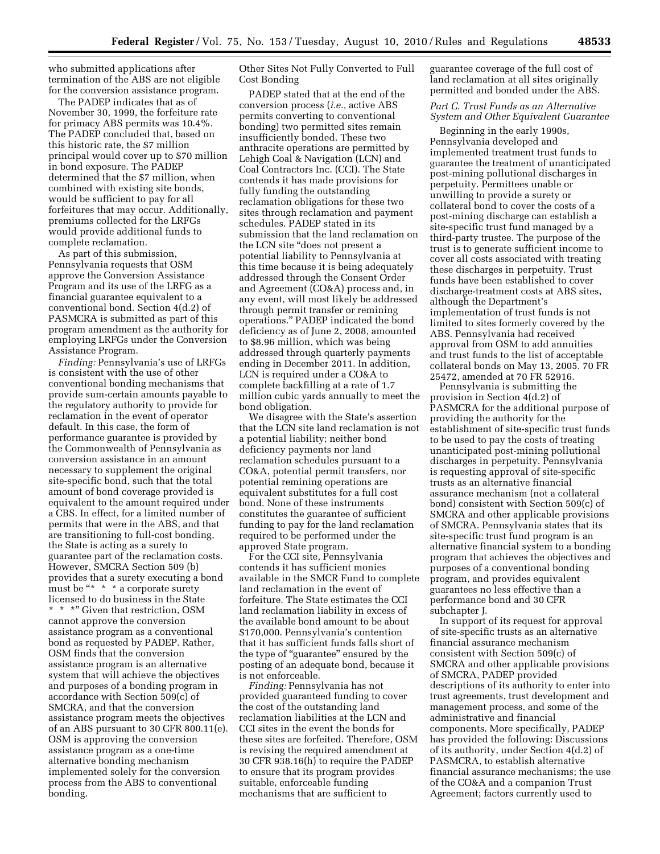who submitted applications after termination of the ABS are not eligible for the conversion assistance program.

The PADEP indicates that as of November 30, 1999, the forfeiture rate for primacy ABS permits was 10.4%. The PADEP concluded that, based on this historic rate, the \$7 million principal would cover up to \$70 million in bond exposure. The PADEP determined that the \$7 million, when combined with existing site bonds, would be sufficient to pay for all forfeitures that may occur. Additionally, premiums collected for the LRFGs would provide additional funds to complete reclamation.

As part of this submission, Pennsylvania requests that OSM approve the Conversion Assistance Program and its use of the LRFG as a financial guarantee equivalent to a conventional bond. Section 4(d.2) of PASMCRA is submitted as part of this program amendment as the authority for employing LRFGs under the Conversion Assistance Program.

*Finding:* Pennsylvania's use of LRFGs is consistent with the use of other conventional bonding mechanisms that provide sum-certain amounts payable to the regulatory authority to provide for reclamation in the event of operator default. In this case, the form of performance guarantee is provided by the Commonwealth of Pennsylvania as conversion assistance in an amount necessary to supplement the original site-specific bond, such that the total amount of bond coverage provided is equivalent to the amount required under a CBS. In effect, for a limited number of permits that were in the ABS, and that are transitioning to full-cost bonding, the State is acting as a surety to guarantee part of the reclamation costs. However, SMCRA Section 509 (b) provides that a surety executing a bond must be "\* \* \* a corporate surety licensed to do business in the State \* \* \*" Given that restriction, OSM cannot approve the conversion assistance program as a conventional bond as requested by PADEP. Rather, OSM finds that the conversion assistance program is an alternative system that will achieve the objectives and purposes of a bonding program in accordance with Section 509(c) of SMCRA, and that the conversion assistance program meets the objectives of an ABS pursuant to 30 CFR 800.11(e). OSM is approving the conversion assistance program as a one-time alternative bonding mechanism implemented solely for the conversion process from the ABS to conventional bonding.

Other Sites Not Fully Converted to Full Cost Bonding

PADEP stated that at the end of the conversion process (*i.e.,* active ABS permits converting to conventional bonding) two permitted sites remain insufficiently bonded. These two anthracite operations are permitted by Lehigh Coal & Navigation (LCN) and Coal Contractors Inc. (CCI). The State contends it has made provisions for fully funding the outstanding reclamation obligations for these two sites through reclamation and payment schedules. PADEP stated in its submission that the land reclamation on the LCN site ''does not present a potential liability to Pennsylvania at this time because it is being adequately addressed through the Consent Order and Agreement (CO&A) process and, in any event, will most likely be addressed through permit transfer or remining operations.'' PADEP indicated the bond deficiency as of June 2, 2008, amounted to \$8.96 million, which was being addressed through quarterly payments ending in December 2011. In addition, LCN is required under a CO&A to complete backfilling at a rate of 1.7 million cubic yards annually to meet the bond obligation.

We disagree with the State's assertion that the LCN site land reclamation is not a potential liability; neither bond deficiency payments nor land reclamation schedules pursuant to a CO&A, potential permit transfers, nor potential remining operations are equivalent substitutes for a full cost bond. None of these instruments constitutes the guarantee of sufficient funding to pay for the land reclamation required to be performed under the approved State program.

For the CCI site, Pennsylvania contends it has sufficient monies available in the SMCR Fund to complete land reclamation in the event of forfeiture. The State estimates the CCI land reclamation liability in excess of the available bond amount to be about \$170,000. Pennsylvania's contention that it has sufficient funds falls short of the type of ''guarantee'' ensured by the posting of an adequate bond, because it is not enforceable.

*Finding:* Pennsylvania has not provided guaranteed funding to cover the cost of the outstanding land reclamation liabilities at the LCN and CCI sites in the event the bonds for these sites are forfeited. Therefore, OSM is revising the required amendment at 30 CFR 938.16(h) to require the PADEP to ensure that its program provides suitable, enforceable funding mechanisms that are sufficient to

guarantee coverage of the full cost of land reclamation at all sites originally permitted and bonded under the ABS.

#### *Part C. Trust Funds as an Alternative System and Other Equivalent Guarantee*

Beginning in the early 1990s, Pennsylvania developed and implemented treatment trust funds to guarantee the treatment of unanticipated post-mining pollutional discharges in perpetuity. Permittees unable or unwilling to provide a surety or collateral bond to cover the costs of a post-mining discharge can establish a site-specific trust fund managed by a third-party trustee. The purpose of the trust is to generate sufficient income to cover all costs associated with treating these discharges in perpetuity. Trust funds have been established to cover discharge-treatment costs at ABS sites, although the Department's implementation of trust funds is not limited to sites formerly covered by the ABS. Pennsylvania had received approval from OSM to add annuities and trust funds to the list of acceptable collateral bonds on May 13, 2005. 70 FR 25472, amended at 70 FR 52916.

Pennsylvania is submitting the provision in Section 4(d.2) of PASMCRA for the additional purpose of providing the authority for the establishment of site-specific trust funds to be used to pay the costs of treating unanticipated post-mining pollutional discharges in perpetuity. Pennsylvania is requesting approval of site-specific trusts as an alternative financial assurance mechanism (not a collateral bond) consistent with Section 509(c) of SMCRA and other applicable provisions of SMCRA. Pennsylvania states that its site-specific trust fund program is an alternative financial system to a bonding program that achieves the objectives and purposes of a conventional bonding program, and provides equivalent guarantees no less effective than a performance bond and 30 CFR subchapter J.

In support of its request for approval of site-specific trusts as an alternative financial assurance mechanism consistent with Section 509(c) of SMCRA and other applicable provisions of SMCRA, PADEP provided descriptions of its authority to enter into trust agreements, trust development and management process, and some of the administrative and financial components. More specifically, PADEP has provided the following: Discussions of its authority, under Section 4(d.2) of PASMCRA, to establish alternative financial assurance mechanisms; the use of the CO&A and a companion Trust Agreement; factors currently used to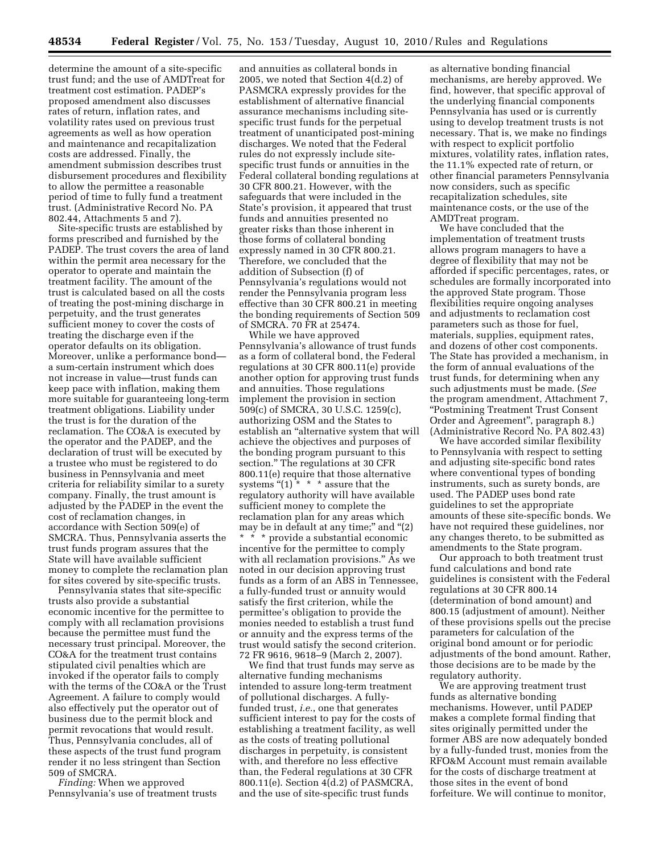determine the amount of a site-specific trust fund; and the use of AMDTreat for treatment cost estimation. PADEP's proposed amendment also discusses rates of return, inflation rates, and volatility rates used on previous trust agreements as well as how operation and maintenance and recapitalization costs are addressed. Finally, the amendment submission describes trust disbursement procedures and flexibility to allow the permittee a reasonable period of time to fully fund a treatment trust. (Administrative Record No. PA 802.44, Attachments 5 and 7).

Site-specific trusts are established by forms prescribed and furnished by the PADEP. The trust covers the area of land within the permit area necessary for the operator to operate and maintain the treatment facility. The amount of the trust is calculated based on all the costs of treating the post-mining discharge in perpetuity, and the trust generates sufficient money to cover the costs of treating the discharge even if the operator defaults on its obligation. Moreover, unlike a performance bond a sum-certain instrument which does not increase in value—trust funds can keep pace with inflation, making them more suitable for guaranteeing long-term treatment obligations. Liability under the trust is for the duration of the reclamation. The CO&A is executed by the operator and the PADEP, and the declaration of trust will be executed by a trustee who must be registered to do business in Pennsylvania and meet criteria for reliability similar to a surety company. Finally, the trust amount is adjusted by the PADEP in the event the cost of reclamation changes, in accordance with Section 509(e) of SMCRA. Thus, Pennsylvania asserts the trust funds program assures that the State will have available sufficient money to complete the reclamation plan for sites covered by site-specific trusts.

Pennsylvania states that site-specific trusts also provide a substantial economic incentive for the permittee to comply with all reclamation provisions because the permittee must fund the necessary trust principal. Moreover, the CO&A for the treatment trust contains stipulated civil penalties which are invoked if the operator fails to comply with the terms of the CO&A or the Trust Agreement. A failure to comply would also effectively put the operator out of business due to the permit block and permit revocations that would result. Thus, Pennsylvania concludes, all of these aspects of the trust fund program render it no less stringent than Section 509 of SMCRA.

*Finding:* When we approved Pennsylvania's use of treatment trusts

and annuities as collateral bonds in 2005, we noted that Section 4(d.2) of PASMCRA expressly provides for the establishment of alternative financial assurance mechanisms including sitespecific trust funds for the perpetual treatment of unanticipated post-mining discharges. We noted that the Federal rules do not expressly include sitespecific trust funds or annuities in the Federal collateral bonding regulations at 30 CFR 800.21. However, with the safeguards that were included in the State's provision, it appeared that trust funds and annuities presented no greater risks than those inherent in those forms of collateral bonding expressly named in 30 CFR 800.21. Therefore, we concluded that the addition of Subsection (f) of Pennsylvania's regulations would not render the Pennsylvania program less effective than 30 CFR 800.21 in meeting the bonding requirements of Section 509 of SMCRA. 70 FR at 25474.

While we have approved Pennsylvania's allowance of trust funds as a form of collateral bond, the Federal regulations at 30 CFR 800.11(e) provide another option for approving trust funds and annuities. Those regulations implement the provision in section 509(c) of SMCRA, 30 U.S.C. 1259(c), authorizing OSM and the States to establish an "alternative system that will achieve the objectives and purposes of the bonding program pursuant to this section.'' The regulations at 30 CFR 800.11(e) require that those alternative systems " $(1)$ <sup>\*</sup> \* \* assure that the regulatory authority will have available sufficient money to complete the reclamation plan for any areas which may be in default at any time;" and "(2) \* \* \* provide a substantial economic incentive for the permittee to comply with all reclamation provisions.'' As we noted in our decision approving trust funds as a form of an ABS in Tennessee, a fully-funded trust or annuity would satisfy the first criterion, while the permittee's obligation to provide the monies needed to establish a trust fund or annuity and the express terms of the trust would satisfy the second criterion. 72 FR 9616, 9618–9 (March 2, 2007).

We find that trust funds may serve as alternative funding mechanisms intended to assure long-term treatment of pollutional discharges. A fullyfunded trust, *i.e.*, one that generates sufficient interest to pay for the costs of establishing a treatment facility, as well as the costs of treating pollutional discharges in perpetuity, is consistent with, and therefore no less effective than, the Federal regulations at 30 CFR 800.11(e). Section 4(d.2) of PASMCRA, and the use of site-specific trust funds

as alternative bonding financial mechanisms, are hereby approved. We find, however, that specific approval of the underlying financial components Pennsylvania has used or is currently using to develop treatment trusts is not necessary. That is, we make no findings with respect to explicit portfolio mixtures, volatility rates, inflation rates, the 11.1% expected rate of return, or other financial parameters Pennsylvania now considers, such as specific recapitalization schedules, site maintenance costs, or the use of the AMDTreat program.

We have concluded that the implementation of treatment trusts allows program managers to have a degree of flexibility that may not be afforded if specific percentages, rates, or schedules are formally incorporated into the approved State program. Those flexibilities require ongoing analyses and adjustments to reclamation cost parameters such as those for fuel, materials, supplies, equipment rates, and dozens of other cost components. The State has provided a mechanism, in the form of annual evaluations of the trust funds, for determining when any such adjustments must be made. (*See*  the program amendment, Attachment 7, ''Postmining Treatment Trust Consent Order and Agreement'', paragraph 8.) (Administrative Record No. PA 802.43)

We have accorded similar flexibility to Pennsylvania with respect to setting and adjusting site-specific bond rates where conventional types of bonding instruments, such as surety bonds, are used. The PADEP uses bond rate guidelines to set the appropriate amounts of these site-specific bonds. We have not required these guidelines, nor any changes thereto, to be submitted as amendments to the State program.

Our approach to both treatment trust fund calculations and bond rate guidelines is consistent with the Federal regulations at 30 CFR 800.14 (determination of bond amount) and 800.15 (adjustment of amount). Neither of these provisions spells out the precise parameters for calculation of the original bond amount or for periodic adjustments of the bond amount. Rather, those decisions are to be made by the regulatory authority.

We are approving treatment trust funds as alternative bonding mechanisms. However, until PADEP makes a complete formal finding that sites originally permitted under the former ABS are now adequately bonded by a fully-funded trust, monies from the RFO&M Account must remain available for the costs of discharge treatment at those sites in the event of bond forfeiture. We will continue to monitor,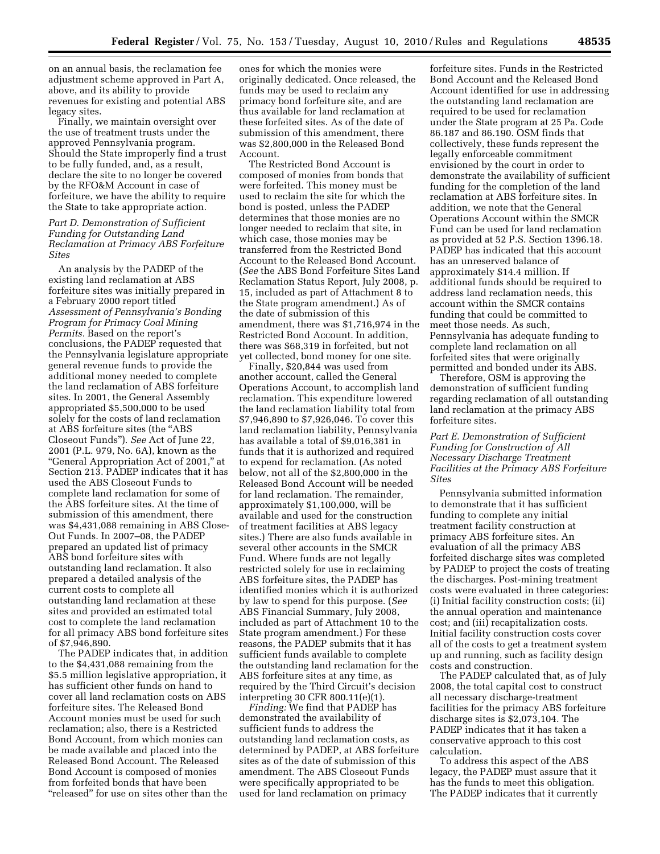on an annual basis, the reclamation fee adjustment scheme approved in Part A, above, and its ability to provide revenues for existing and potential ABS legacy sites.

Finally, we maintain oversight over the use of treatment trusts under the approved Pennsylvania program. Should the State improperly find a trust to be fully funded, and, as a result, declare the site to no longer be covered by the RFO&M Account in case of forfeiture, we have the ability to require the State to take appropriate action.

#### *Part D. Demonstration of Sufficient Funding for Outstanding Land Reclamation at Primacy ABS Forfeiture Sites*

An analysis by the PADEP of the existing land reclamation at ABS forfeiture sites was initially prepared in a February 2000 report titled *Assessment of Pennsylvania's Bonding Program for Primacy Coal Mining Permits.* Based on the report's conclusions, the PADEP requested that the Pennsylvania legislature appropriate general revenue funds to provide the additional money needed to complete the land reclamation of ABS forfeiture sites. In 2001, the General Assembly appropriated \$5,500,000 to be used solely for the costs of land reclamation at ABS forfeiture sites (the ''ABS Closeout Funds''). *See* Act of June 22, 2001 (P.L. 979, No. 6A), known as the ''General Appropriation Act of 2001,'' at Section 213. PADEP indicates that it has used the ABS Closeout Funds to complete land reclamation for some of the ABS forfeiture sites. At the time of submission of this amendment, there was \$4,431,088 remaining in ABS Close-Out Funds. In 2007–08, the PADEP prepared an updated list of primacy ABS bond forfeiture sites with outstanding land reclamation. It also prepared a detailed analysis of the current costs to complete all outstanding land reclamation at these sites and provided an estimated total cost to complete the land reclamation for all primacy ABS bond forfeiture sites of \$7,946,890.

The PADEP indicates that, in addition to the \$4,431,088 remaining from the \$5.5 million legislative appropriation, it has sufficient other funds on hand to cover all land reclamation costs on ABS forfeiture sites. The Released Bond Account monies must be used for such reclamation; also, there is a Restricted Bond Account, from which monies can be made available and placed into the Released Bond Account. The Released Bond Account is composed of monies from forfeited bonds that have been "released" for use on sites other than the

ones for which the monies were originally dedicated. Once released, the funds may be used to reclaim any primacy bond forfeiture site, and are thus available for land reclamation at these forfeited sites. As of the date of submission of this amendment, there was \$2,800,000 in the Released Bond Account.

The Restricted Bond Account is composed of monies from bonds that were forfeited. This money must be used to reclaim the site for which the bond is posted, unless the PADEP determines that those monies are no longer needed to reclaim that site, in which case, those monies may be transferred from the Restricted Bond Account to the Released Bond Account. (*See* the ABS Bond Forfeiture Sites Land Reclamation Status Report, July 2008, p. 15, included as part of Attachment 8 to the State program amendment.) As of the date of submission of this amendment, there was \$1,716,974 in the Restricted Bond Account. In addition, there was \$68,319 in forfeited, but not yet collected, bond money for one site.

Finally, \$20,844 was used from another account, called the General Operations Account, to accomplish land reclamation. This expenditure lowered the land reclamation liability total from \$7,946,890 to \$7,926,046. To cover this land reclamation liability, Pennsylvania has available a total of \$9,016,381 in funds that it is authorized and required to expend for reclamation. (As noted below, not all of the \$2,800,000 in the Released Bond Account will be needed for land reclamation. The remainder, approximately \$1,100,000, will be available and used for the construction of treatment facilities at ABS legacy sites.) There are also funds available in several other accounts in the SMCR Fund. Where funds are not legally restricted solely for use in reclaiming ABS forfeiture sites, the PADEP has identified monies which it is authorized by law to spend for this purpose. (*See*  ABS Financial Summary, July 2008, included as part of Attachment 10 to the State program amendment.) For these reasons, the PADEP submits that it has sufficient funds available to complete the outstanding land reclamation for the ABS forfeiture sites at any time, as required by the Third Circuit's decision interpreting 30 CFR 800.11(e)(1).

*Finding:* We find that PADEP has demonstrated the availability of sufficient funds to address the outstanding land reclamation costs, as determined by PADEP, at ABS forfeiture sites as of the date of submission of this amendment. The ABS Closeout Funds were specifically appropriated to be used for land reclamation on primacy

forfeiture sites. Funds in the Restricted Bond Account and the Released Bond Account identified for use in addressing the outstanding land reclamation are required to be used for reclamation under the State program at 25 Pa. Code 86.187 and 86.190. OSM finds that collectively, these funds represent the legally enforceable commitment envisioned by the court in order to demonstrate the availability of sufficient funding for the completion of the land reclamation at ABS forfeiture sites. In addition, we note that the General Operations Account within the SMCR Fund can be used for land reclamation as provided at 52 P.S. Section 1396.18. PADEP has indicated that this account has an unreserved balance of approximately \$14.4 million. If additional funds should be required to address land reclamation needs, this account within the SMCR contains funding that could be committed to meet those needs. As such, Pennsylvania has adequate funding to complete land reclamation on all forfeited sites that were originally permitted and bonded under its ABS.

Therefore, OSM is approving the demonstration of sufficient funding regarding reclamation of all outstanding land reclamation at the primacy ABS forfeiture sites.

#### *Part E. Demonstration of Sufficient Funding for Construction of All Necessary Discharge Treatment Facilities at the Primacy ABS Forfeiture Sites*

Pennsylvania submitted information to demonstrate that it has sufficient funding to complete any initial treatment facility construction at primacy ABS forfeiture sites. An evaluation of all the primacy ABS forfeited discharge sites was completed by PADEP to project the costs of treating the discharges. Post-mining treatment costs were evaluated in three categories: (i) Initial facility construction costs; (ii) the annual operation and maintenance cost; and (iii) recapitalization costs. Initial facility construction costs cover all of the costs to get a treatment system up and running, such as facility design costs and construction.

The PADEP calculated that, as of July 2008, the total capital cost to construct all necessary discharge-treatment facilities for the primacy ABS forfeiture discharge sites is \$2,073,104. The PADEP indicates that it has taken a conservative approach to this cost calculation.

To address this aspect of the ABS legacy, the PADEP must assure that it has the funds to meet this obligation. The PADEP indicates that it currently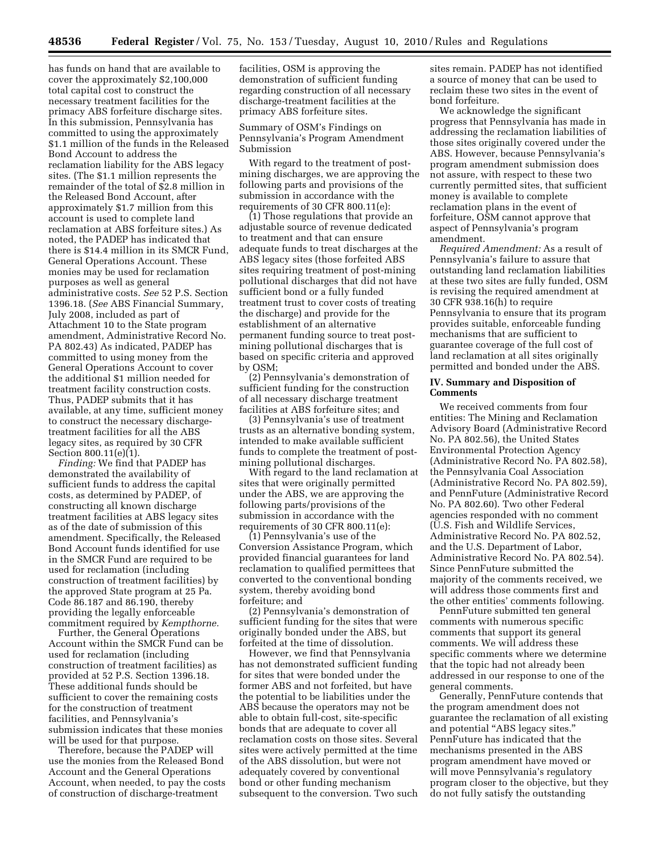has funds on hand that are available to cover the approximately \$2,100,000 total capital cost to construct the necessary treatment facilities for the primacy ABS forfeiture discharge sites. In this submission, Pennsylvania has committed to using the approximately \$1.1 million of the funds in the Released Bond Account to address the reclamation liability for the ABS legacy sites. (The \$1.1 million represents the remainder of the total of \$2.8 million in the Released Bond Account, after approximately \$1.7 million from this account is used to complete land reclamation at ABS forfeiture sites.) As noted, the PADEP has indicated that there is \$14.4 million in its SMCR Fund, General Operations Account. These monies may be used for reclamation purposes as well as general administrative costs. *See* 52 P.S. Section 1396.18. (*See* ABS Financial Summary, July 2008, included as part of Attachment 10 to the State program amendment, Administrative Record No. PA 802.43) As indicated, PADEP has committed to using money from the General Operations Account to cover the additional \$1 million needed for treatment facility construction costs. Thus, PADEP submits that it has available, at any time, sufficient money to construct the necessary dischargetreatment facilities for all the ABS legacy sites, as required by 30 CFR Section 800.11(e)(1).

*Finding:* We find that PADEP has demonstrated the availability of sufficient funds to address the capital costs, as determined by PADEP, of constructing all known discharge treatment facilities at ABS legacy sites as of the date of submission of this amendment. Specifically, the Released Bond Account funds identified for use in the SMCR Fund are required to be used for reclamation (including construction of treatment facilities) by the approved State program at 25 Pa. Code 86.187 and 86.190, thereby providing the legally enforceable commitment required by *Kempthorne.* 

Further, the General Operations Account within the SMCR Fund can be used for reclamation (including construction of treatment facilities) as provided at 52 P.S. Section 1396.18. These additional funds should be sufficient to cover the remaining costs for the construction of treatment facilities, and Pennsylvania's submission indicates that these monies will be used for that purpose.

Therefore, because the PADEP will use the monies from the Released Bond Account and the General Operations Account, when needed, to pay the costs of construction of discharge-treatment

facilities, OSM is approving the demonstration of sufficient funding regarding construction of all necessary discharge-treatment facilities at the primacy ABS forfeiture sites.

Summary of OSM's Findings on Pennsylvania's Program Amendment Submission

With regard to the treatment of postmining discharges, we are approving the following parts and provisions of the submission in accordance with the requirements of 30 CFR 800.11(e):

(1) Those regulations that provide an adjustable source of revenue dedicated to treatment and that can ensure adequate funds to treat discharges at the ABS legacy sites (those forfeited ABS sites requiring treatment of post-mining pollutional discharges that did not have sufficient bond or a fully funded treatment trust to cover costs of treating the discharge) and provide for the establishment of an alternative permanent funding source to treat postmining pollutional discharges that is based on specific criteria and approved by OSM;

(2) Pennsylvania's demonstration of sufficient funding for the construction of all necessary discharge treatment facilities at ABS forfeiture sites; and

(3) Pennsylvania's use of treatment trusts as an alternative bonding system, intended to make available sufficient funds to complete the treatment of postmining pollutional discharges.

With regard to the land reclamation at sites that were originally permitted under the ABS, we are approving the following parts/provisions of the submission in accordance with the requirements of 30 CFR 800.11(e):

(1) Pennsylvania's use of the Conversion Assistance Program, which provided financial guarantees for land reclamation to qualified permittees that converted to the conventional bonding system, thereby avoiding bond forfeiture; and

(2) Pennsylvania's demonstration of sufficient funding for the sites that were originally bonded under the ABS, but forfeited at the time of dissolution.

However, we find that Pennsylvania has not demonstrated sufficient funding for sites that were bonded under the former ABS and not forfeited, but have the potential to be liabilities under the ABS because the operators may not be able to obtain full-cost, site-specific bonds that are adequate to cover all reclamation costs on those sites. Several sites were actively permitted at the time of the ABS dissolution, but were not adequately covered by conventional bond or other funding mechanism subsequent to the conversion. Two such

sites remain. PADEP has not identified a source of money that can be used to reclaim these two sites in the event of bond forfeiture.

We acknowledge the significant progress that Pennsylvania has made in addressing the reclamation liabilities of those sites originally covered under the ABS. However, because Pennsylvania's program amendment submission does not assure, with respect to these two currently permitted sites, that sufficient money is available to complete reclamation plans in the event of forfeiture, OSM cannot approve that aspect of Pennsylvania's program amendment.

*Required Amendment:* As a result of Pennsylvania's failure to assure that outstanding land reclamation liabilities at these two sites are fully funded, OSM is revising the required amendment at 30 CFR 938.16(h) to require Pennsylvania to ensure that its program provides suitable, enforceable funding mechanisms that are sufficient to guarantee coverage of the full cost of land reclamation at all sites originally permitted and bonded under the ABS.

#### **IV. Summary and Disposition of Comments**

We received comments from four entities: The Mining and Reclamation Advisory Board (Administrative Record No. PA 802.56), the United States Environmental Protection Agency (Administrative Record No. PA 802.58), the Pennsylvania Coal Association (Administrative Record No. PA 802.59), and PennFuture (Administrative Record No. PA 802.60). Two other Federal agencies responded with no comment (U.S. Fish and Wildlife Services, Administrative Record No. PA 802.52, and the U.S. Department of Labor, Administrative Record No. PA 802.54). Since PennFuture submitted the majority of the comments received, we will address those comments first and the other entities' comments following.

PennFuture submitted ten general comments with numerous specific comments that support its general comments. We will address these specific comments where we determine that the topic had not already been addressed in our response to one of the general comments.

Generally, PennFuture contends that the program amendment does not guarantee the reclamation of all existing and potential "ABS legacy sites." PennFuture has indicated that the mechanisms presented in the ABS program amendment have moved or will move Pennsylvania's regulatory program closer to the objective, but they do not fully satisfy the outstanding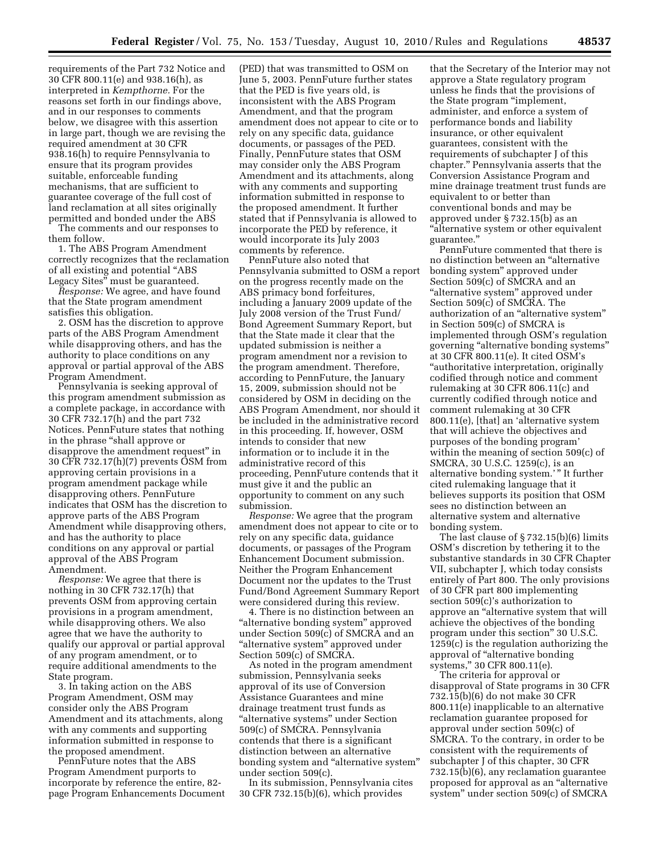requirements of the Part 732 Notice and 30 CFR 800.11(e) and 938.16(h), as interpreted in *Kempthorne.* For the reasons set forth in our findings above, and in our responses to comments below, we disagree with this assertion in large part, though we are revising the required amendment at 30 CFR 938.16(h) to require Pennsylvania to ensure that its program provides suitable, enforceable funding mechanisms, that are sufficient to guarantee coverage of the full cost of land reclamation at all sites originally permitted and bonded under the ABS

The comments and our responses to them follow.

1. The ABS Program Amendment correctly recognizes that the reclamation of all existing and potential ''ABS Legacy Sites'' must be guaranteed.

*Response:* We agree, and have found that the State program amendment satisfies this obligation.

2. OSM has the discretion to approve parts of the ABS Program Amendment while disapproving others, and has the authority to place conditions on any approval or partial approval of the ABS Program Amendment.

Pennsylvania is seeking approval of this program amendment submission as a complete package, in accordance with 30 CFR 732.17(h) and the part 732 Notices. PennFuture states that nothing in the phrase ''shall approve or disapprove the amendment request'' in 30 CFR 732.17(h)(7) prevents OSM from approving certain provisions in a program amendment package while disapproving others. PennFuture indicates that OSM has the discretion to approve parts of the ABS Program Amendment while disapproving others, and has the authority to place conditions on any approval or partial approval of the ABS Program Amendment.

*Response:* We agree that there is nothing in 30 CFR 732.17(h) that prevents OSM from approving certain provisions in a program amendment, while disapproving others. We also agree that we have the authority to qualify our approval or partial approval of any program amendment, or to require additional amendments to the State program.

3. In taking action on the ABS Program Amendment, OSM may consider only the ABS Program Amendment and its attachments, along with any comments and supporting information submitted in response to the proposed amendment.

PennFuture notes that the ABS Program Amendment purports to incorporate by reference the entire, 82 page Program Enhancements Document

(PED) that was transmitted to OSM on June 5, 2003. PennFuture further states that the PED is five years old, is inconsistent with the ABS Program Amendment, and that the program amendment does not appear to cite or to rely on any specific data, guidance documents, or passages of the PED. Finally, PennFuture states that OSM may consider only the ABS Program Amendment and its attachments, along with any comments and supporting information submitted in response to the proposed amendment. It further stated that if Pennsylvania is allowed to incorporate the PED by reference, it would incorporate its July 2003 comments by reference.

PennFuture also noted that Pennsylvania submitted to OSM a report on the progress recently made on the ABS primacy bond forfeitures, including a January 2009 update of the July 2008 version of the Trust Fund/ Bond Agreement Summary Report, but that the State made it clear that the updated submission is neither a program amendment nor a revision to the program amendment. Therefore, according to PennFuture, the January 15, 2009, submission should not be considered by OSM in deciding on the ABS Program Amendment, nor should it be included in the administrative record in this proceeding. If, however, OSM intends to consider that new information or to include it in the administrative record of this proceeding, PennFuture contends that it must give it and the public an opportunity to comment on any such submission.

*Response:* We agree that the program amendment does not appear to cite or to rely on any specific data, guidance documents, or passages of the Program Enhancement Document submission. Neither the Program Enhancement Document nor the updates to the Trust Fund/Bond Agreement Summary Report were considered during this review.

4. There is no distinction between an "alternative bonding system" approved under Section 509(c) of SMCRA and an ''alternative system'' approved under Section 509(c) of SMCRA.

As noted in the program amendment submission, Pennsylvania seeks approval of its use of Conversion Assistance Guarantees and mine drainage treatment trust funds as ''alternative systems'' under Section 509(c) of SMCRA. Pennsylvania contends that there is a significant distinction between an alternative bonding system and ''alternative system'' under section 509(c).

In its submission, Pennsylvania cites 30 CFR 732.15(b)(6), which provides

that the Secretary of the Interior may not approve a State regulatory program unless he finds that the provisions of the State program "implement, administer, and enforce a system of performance bonds and liability insurance, or other equivalent guarantees, consistent with the requirements of subchapter J of this chapter.'' Pennsylvania asserts that the Conversion Assistance Program and mine drainage treatment trust funds are equivalent to or better than conventional bonds and may be approved under § 732.15(b) as an ''alternative system or other equivalent guarantee.''

PennFuture commented that there is no distinction between an ''alternative bonding system'' approved under Section 509(c) of SMCRA and an ''alternative system'' approved under Section 509(c) of SMCRA. The authorization of an ''alternative system'' in Section 509(c) of SMCRA is implemented through OSM's regulation governing ''alternative bonding systems'' at 30 CFR 800.11(e). It cited OSM's ''authoritative interpretation, originally codified through notice and comment rulemaking at 30 CFR 806.11(c) and currently codified through notice and comment rulemaking at 30 CFR 800.11(e), [that] an 'alternative system that will achieve the objectives and purposes of the bonding program' within the meaning of section 509(c) of SMCRA, 30 U.S.C. 1259(c), is an alternative bonding system.'" It further cited rulemaking language that it believes supports its position that OSM sees no distinction between an alternative system and alternative bonding system.

The last clause of § 732.15(b)(6) limits OSM's discretion by tethering it to the substantive standards in 30 CFR Chapter VII, subchapter J, which today consists entirely of Part 800. The only provisions of 30 CFR part 800 implementing section 509(c)'s authorization to approve an ''alternative system that will achieve the objectives of the bonding program under this section'' 30 U.S.C. 1259(c) is the regulation authorizing the approval of ''alternative bonding systems,'' 30 CFR 800.11(e).

The criteria for approval or disapproval of State programs in 30 CFR 732.15(b)(6) do not make 30 CFR 800.11(e) inapplicable to an alternative reclamation guarantee proposed for approval under section 509(c) of SMCRA. To the contrary, in order to be consistent with the requirements of subchapter J of this chapter, 30 CFR 732.15(b)(6), any reclamation guarantee proposed for approval as an ''alternative system'' under section 509(c) of SMCRA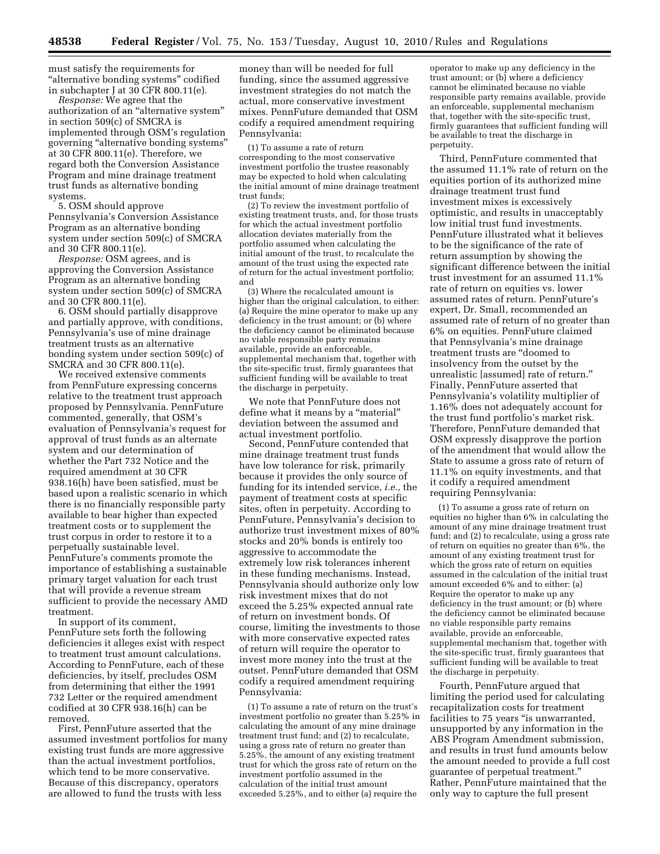must satisfy the requirements for ''alternative bonding systems'' codified in subchapter J at 30 CFR 800.11(e).

*Response:* We agree that the authorization of an ''alternative system'' in section 509(c) of SMCRA is implemented through OSM's regulation governing ''alternative bonding systems'' at 30 CFR 800.11(e). Therefore, we regard both the Conversion Assistance Program and mine drainage treatment trust funds as alternative bonding systems.

5. OSM should approve Pennsylvania's Conversion Assistance Program as an alternative bonding system under section 509(c) of SMCRA and 30 CFR 800.11(e).

*Response:* OSM agrees, and is approving the Conversion Assistance Program as an alternative bonding system under section 509(c) of SMCRA and 30 CFR 800.11(e).

6. OSM should partially disapprove and partially approve, with conditions, Pennsylvania's use of mine drainage treatment trusts as an alternative bonding system under section 509(c) of SMCRA and 30 CFR 800.11(e).

We received extensive comments from PennFuture expressing concerns relative to the treatment trust approach proposed by Pennsylvania. PennFuture commented, generally, that OSM's evaluation of Pennsylvania's request for approval of trust funds as an alternate system and our determination of whether the Part 732 Notice and the required amendment at 30 CFR 938.16(h) have been satisfied, must be based upon a realistic scenario in which there is no financially responsible party available to bear higher than expected treatment costs or to supplement the trust corpus in order to restore it to a perpetually sustainable level. PennFuture's comments promote the importance of establishing a sustainable primary target valuation for each trust that will provide a revenue stream sufficient to provide the necessary AMD treatment.

In support of its comment, PennFuture sets forth the following deficiencies it alleges exist with respect to treatment trust amount calculations. According to PennFuture, each of these deficiencies, by itself, precludes OSM from determining that either the 1991 732 Letter or the required amendment codified at 30 CFR 938.16(h) can be removed.

First, PennFuture asserted that the assumed investment portfolios for many existing trust funds are more aggressive than the actual investment portfolios, which tend to be more conservative. Because of this discrepancy, operators are allowed to fund the trusts with less

money than will be needed for full funding, since the assumed aggressive investment strategies do not match the actual, more conservative investment mixes. PennFuture demanded that OSM codify a required amendment requiring Pennsylvania:

(1) To assume a rate of return corresponding to the most conservative investment portfolio the trustee reasonably may be expected to hold when calculating the initial amount of mine drainage treatment trust funds;

(2) To review the investment portfolio of existing treatment trusts, and, for those trusts for which the actual investment portfolio allocation deviates materially from the portfolio assumed when calculating the initial amount of the trust, to recalculate the amount of the trust using the expected rate of return for the actual investment portfolio; and

(3) Where the recalculated amount is higher than the original calculation, to either: (a) Require the mine operator to make up any deficiency in the trust amount; or (b) where the deficiency cannot be eliminated because no viable responsible party remains available, provide an enforceable, supplemental mechanism that, together with the site-specific trust, firmly guarantees that sufficient funding will be available to treat the discharge in perpetuity.

We note that PennFuture does not define what it means by a "material" deviation between the assumed and actual investment portfolio.

Second, PennFuture contended that mine drainage treatment trust funds have low tolerance for risk, primarily because it provides the only source of funding for its intended service, *i.e.,* the payment of treatment costs at specific sites, often in perpetuity. According to PennFuture, Pennsylvania's decision to authorize trust investment mixes of 80% stocks and 20% bonds is entirely too aggressive to accommodate the extremely low risk tolerances inherent in these funding mechanisms. Instead, Pennsylvania should authorize only low risk investment mixes that do not exceed the 5.25% expected annual rate of return on investment bonds. Of course, limiting the investments to those with more conservative expected rates of return will require the operator to invest more money into the trust at the outset. PennFuture demanded that OSM codify a required amendment requiring Pennsylvania:

(1) To assume a rate of return on the trust's investment portfolio no greater than 5.25% in calculating the amount of any mine drainage treatment trust fund; and (2) to recalculate, using a gross rate of return no greater than 5.25%, the amount of any existing treatment trust for which the gross rate of return on the investment portfolio assumed in the calculation of the initial trust amount exceeded 5.25%, and to either (a) require the

operator to make up any deficiency in the trust amount; or (b) where a deficiency cannot be eliminated because no viable responsible party remains available, provide an enforceable, supplemental mechanism that, together with the site-specific trust, firmly guarantees that sufficient funding will be available to treat the discharge in perpetuity.

Third, PennFuture commented that the assumed 11.1% rate of return on the equities portion of its authorized mine drainage treatment trust fund investment mixes is excessively optimistic, and results in unacceptably low initial trust fund investments. PennFuture illustrated what it believes to be the significance of the rate of return assumption by showing the significant difference between the initial trust investment for an assumed 11.1% rate of return on equities vs. lower assumed rates of return. PennFuture's expert, Dr. Small, recommended an assumed rate of return of no greater than 6% on equities. PennFuture claimed that Pennsylvania's mine drainage treatment trusts are ''doomed to insolvency from the outset by the unrealistic [assumed] rate of return.'' Finally, PennFuture asserted that Pennsylvania's volatility multiplier of 1.16% does not adequately account for the trust fund portfolio's market risk. Therefore, PennFuture demanded that OSM expressly disapprove the portion of the amendment that would allow the State to assume a gross rate of return of 11.1% on equity investments, and that it codify a required amendment requiring Pennsylvania:

(1) To assume a gross rate of return on equities no higher than 6% in calculating the amount of any mine drainage treatment trust fund; and (2) to recalculate, using a gross rate of return on equities no greater than 6%, the amount of any existing treatment trust for which the gross rate of return on equities assumed in the calculation of the initial trust amount exceeded 6% and to either: (a) Require the operator to make up any deficiency in the trust amount; or  $(b)$  where the deficiency cannot be eliminated because no viable responsible party remains available, provide an enforceable, supplemental mechanism that, together with the site-specific trust, firmly guarantees that sufficient funding will be available to treat the discharge in perpetuity.

Fourth, PennFuture argued that limiting the period used for calculating recapitalization costs for treatment facilities to 75 years "is unwarranted, unsupported by any information in the ABS Program Amendment submission, and results in trust fund amounts below the amount needed to provide a full cost guarantee of perpetual treatment.'' Rather, PennFuture maintained that the only way to capture the full present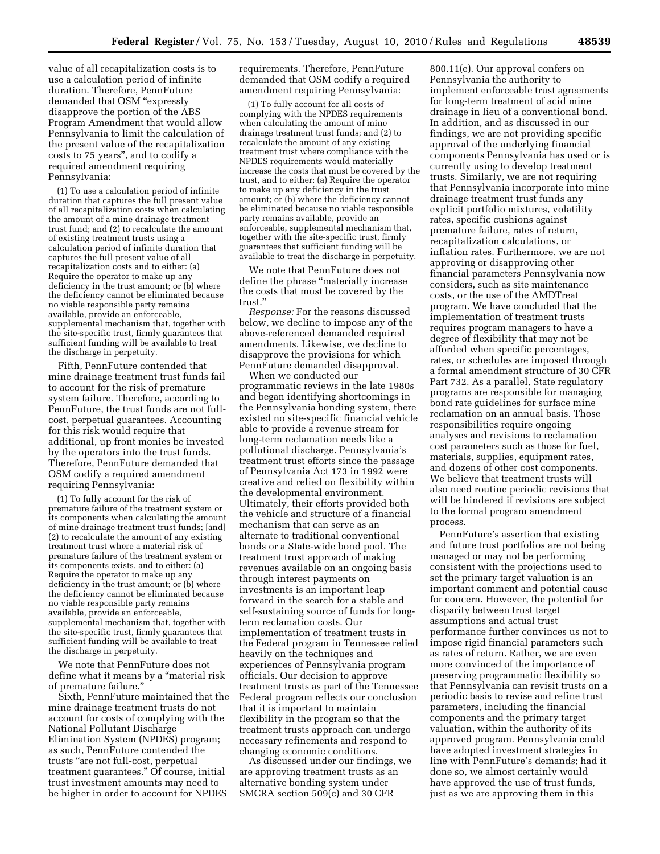value of all recapitalization costs is to use a calculation period of infinite duration. Therefore, PennFuture demanded that OSM "expressly disapprove the portion of the ABS Program Amendment that would allow Pennsylvania to limit the calculation of the present value of the recapitalization costs to 75 years'', and to codify a required amendment requiring Pennsylvania:

(1) To use a calculation period of infinite duration that captures the full present value of all recapitalization costs when calculating the amount of a mine drainage treatment trust fund; and (2) to recalculate the amount of existing treatment trusts using a calculation period of infinite duration that captures the full present value of all recapitalization costs and to either: (a) Require the operator to make up any deficiency in the trust amount; or (b) where the deficiency cannot be eliminated because no viable responsible party remains available, provide an enforceable, supplemental mechanism that, together with the site-specific trust, firmly guarantees that sufficient funding will be available to treat the discharge in perpetuity.

Fifth, PennFuture contended that mine drainage treatment trust funds fail to account for the risk of premature system failure. Therefore, according to PennFuture, the trust funds are not fullcost, perpetual guarantees. Accounting for this risk would require that additional, up front monies be invested by the operators into the trust funds. Therefore, PennFuture demanded that OSM codify a required amendment requiring Pennsylvania:

(1) To fully account for the risk of premature failure of the treatment system or its components when calculating the amount of mine drainage treatment trust funds; [and] (2) to recalculate the amount of any existing treatment trust where a material risk of premature failure of the treatment system or its components exists, and to either: (a) Require the operator to make up any deficiency in the trust amount; or (b) where the deficiency cannot be eliminated because no viable responsible party remains available, provide an enforceable, supplemental mechanism that, together with the site-specific trust, firmly guarantees that sufficient funding will be available to treat the discharge in perpetuity.

We note that PennFuture does not define what it means by a ''material risk of premature failure.''

Sixth, PennFuture maintained that the mine drainage treatment trusts do not account for costs of complying with the National Pollutant Discharge Elimination System (NPDES) program; as such, PennFuture contended the trusts ''are not full-cost, perpetual treatment guarantees.'' Of course, initial trust investment amounts may need to be higher in order to account for NPDES

requirements. Therefore, PennFuture demanded that OSM codify a required amendment requiring Pennsylvania:

(1) To fully account for all costs of complying with the NPDES requirements when calculating the amount of mine drainage treatment trust funds; and (2) to recalculate the amount of any existing treatment trust where compliance with the NPDES requirements would materially increase the costs that must be covered by the trust, and to either: (a) Require the operator to make up any deficiency in the trust amount; or (b) where the deficiency cannot be eliminated because no viable responsible party remains available, provide an enforceable, supplemental mechanism that, together with the site-specific trust, firmly guarantees that sufficient funding will be available to treat the discharge in perpetuity.

We note that PennFuture does not define the phrase ''materially increase the costs that must be covered by the trust.''

*Response:* For the reasons discussed below, we decline to impose any of the above-referenced demanded required amendments. Likewise, we decline to disapprove the provisions for which PennFuture demanded disapproval.

When we conducted our programmatic reviews in the late 1980s and began identifying shortcomings in the Pennsylvania bonding system, there existed no site-specific financial vehicle able to provide a revenue stream for long-term reclamation needs like a pollutional discharge. Pennsylvania's treatment trust efforts since the passage of Pennsylvania Act 173 in 1992 were creative and relied on flexibility within the developmental environment. Ultimately, their efforts provided both the vehicle and structure of a financial mechanism that can serve as an alternate to traditional conventional bonds or a State-wide bond pool. The treatment trust approach of making revenues available on an ongoing basis through interest payments on investments is an important leap forward in the search for a stable and self-sustaining source of funds for longterm reclamation costs. Our implementation of treatment trusts in the Federal program in Tennessee relied heavily on the techniques and experiences of Pennsylvania program officials. Our decision to approve treatment trusts as part of the Tennessee Federal program reflects our conclusion that it is important to maintain flexibility in the program so that the treatment trusts approach can undergo necessary refinements and respond to changing economic conditions.

As discussed under our findings, we are approving treatment trusts as an alternative bonding system under SMCRA section 509(c) and 30 CFR

800.11(e). Our approval confers on Pennsylvania the authority to implement enforceable trust agreements for long-term treatment of acid mine drainage in lieu of a conventional bond. In addition, and as discussed in our findings, we are not providing specific approval of the underlying financial components Pennsylvania has used or is currently using to develop treatment trusts. Similarly, we are not requiring that Pennsylvania incorporate into mine drainage treatment trust funds any explicit portfolio mixtures, volatility rates, specific cushions against premature failure, rates of return, recapitalization calculations, or inflation rates. Furthermore, we are not approving or disapproving other financial parameters Pennsylvania now considers, such as site maintenance costs, or the use of the AMDTreat program. We have concluded that the implementation of treatment trusts requires program managers to have a degree of flexibility that may not be afforded when specific percentages, rates, or schedules are imposed through a formal amendment structure of 30 CFR Part 732. As a parallel, State regulatory programs are responsible for managing bond rate guidelines for surface mine reclamation on an annual basis. Those responsibilities require ongoing analyses and revisions to reclamation cost parameters such as those for fuel, materials, supplies, equipment rates, and dozens of other cost components. We believe that treatment trusts will also need routine periodic revisions that will be hindered if revisions are subject to the formal program amendment process.

PennFuture's assertion that existing and future trust portfolios are not being managed or may not be performing consistent with the projections used to set the primary target valuation is an important comment and potential cause for concern. However, the potential for disparity between trust target assumptions and actual trust performance further convinces us not to impose rigid financial parameters such as rates of return. Rather, we are even more convinced of the importance of preserving programmatic flexibility so that Pennsylvania can revisit trusts on a periodic basis to revise and refine trust parameters, including the financial components and the primary target valuation, within the authority of its approved program. Pennsylvania could have adopted investment strategies in line with PennFuture's demands; had it done so, we almost certainly would have approved the use of trust funds, just as we are approving them in this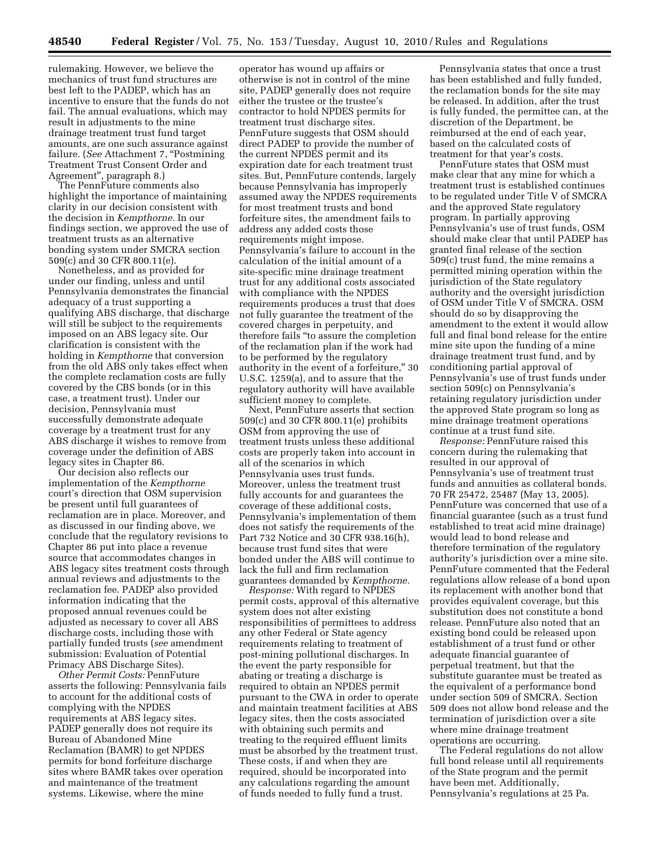rulemaking. However, we believe the mechanics of trust fund structures are best left to the PADEP, which has an incentive to ensure that the funds do not fail. The annual evaluations, which may result in adjustments to the mine drainage treatment trust fund target amounts, are one such assurance against failure. (*See* Attachment 7, ''Postmining Treatment Trust Consent Order and Agreement'', paragraph 8.)

The PennFuture comments also highlight the importance of maintaining clarity in our decision consistent with the decision in *Kempthorne.* In our findings section, we approved the use of treatment trusts as an alternative bonding system under SMCRA section 509(c) and 30 CFR 800.11(e).

Nonetheless, and as provided for under our finding, unless and until Pennsylvania demonstrates the financial adequacy of a trust supporting a qualifying ABS discharge, that discharge will still be subject to the requirements imposed on an ABS legacy site. Our clarification is consistent with the holding in *Kempthorne* that conversion from the old ABS only takes effect when the complete reclamation costs are fully covered by the CBS bonds (or in this case, a treatment trust). Under our decision, Pennsylvania must successfully demonstrate adequate coverage by a treatment trust for any ABS discharge it wishes to remove from coverage under the definition of ABS legacy sites in Chapter 86.

Our decision also reflects our implementation of the *Kempthorne*  court's direction that OSM supervision be present until full guarantees of reclamation are in place. Moreover, and as discussed in our finding above, we conclude that the regulatory revisions to Chapter 86 put into place a revenue source that accommodates changes in ABS legacy sites treatment costs through annual reviews and adjustments to the reclamation fee. PADEP also provided information indicating that the proposed annual revenues could be adjusted as necessary to cover all ABS discharge costs, including those with partially funded trusts (*see* amendment submission: Evaluation of Potential Primacy ABS Discharge Sites).

*Other Permit Costs:* PennFuture asserts the following: Pennsylvania fails to account for the additional costs of complying with the NPDES requirements at ABS legacy sites. PADEP generally does not require its Bureau of Abandoned Mine Reclamation (BAMR) to get NPDES permits for bond forfeiture discharge sites where BAMR takes over operation and maintenance of the treatment systems. Likewise, where the mine

operator has wound up affairs or otherwise is not in control of the mine site, PADEP generally does not require either the trustee or the trustee's contractor to hold NPDES permits for treatment trust discharge sites. PennFuture suggests that OSM should direct PADEP to provide the number of the current NPDES permit and its expiration date for each treatment trust sites. But, PennFuture contends, largely because Pennsylvania has improperly assumed away the NPDES requirements for most treatment trusts and bond forfeiture sites, the amendment fails to address any added costs those requirements might impose. Pennsylvania's failure to account in the calculation of the initial amount of a site-specific mine drainage treatment trust for any additional costs associated with compliance with the NPDES requirements produces a trust that does not fully guarantee the treatment of the covered charges in perpetuity, and therefore fails ''to assure the completion of the reclamation plan if the work had to be performed by the regulatory authority in the event of a forfeiture,'' 30 U.S.C. 1259(a), and to assure that the regulatory authority will have available sufficient money to complete.

Next, PennFuture asserts that section 509(c) and 30 CFR 800.11(e) prohibits OSM from approving the use of treatment trusts unless these additional costs are properly taken into account in all of the scenarios in which Pennsylvania uses trust funds. Moreover, unless the treatment trust fully accounts for and guarantees the coverage of these additional costs, Pennsylvania's implementation of them does not satisfy the requirements of the Part 732 Notice and 30 CFR 938.16(h), because trust fund sites that were bonded under the ABS will continue to lack the full and firm reclamation guarantees demanded by *Kempthorne.* 

*Response:* With regard to NPDES permit costs, approval of this alternative system does not alter existing responsibilities of permittees to address any other Federal or State agency requirements relating to treatment of post-mining pollutional discharges. In the event the party responsible for abating or treating a discharge is required to obtain an NPDES permit pursuant to the CWA in order to operate and maintain treatment facilities at ABS legacy sites, then the costs associated with obtaining such permits and treating to the required effluent limits must be absorbed by the treatment trust. These costs, if and when they are required, should be incorporated into any calculations regarding the amount of funds needed to fully fund a trust.

Pennsylvania states that once a trust has been established and fully funded, the reclamation bonds for the site may be released. In addition, after the trust is fully funded, the permittee can, at the discretion of the Department, be reimbursed at the end of each year, based on the calculated costs of treatment for that year's costs.

PennFuture states that OSM must make clear that any mine for which a treatment trust is established continues to be regulated under Title V of SMCRA and the approved State regulatory program. In partially approving Pennsylvania's use of trust funds, OSM should make clear that until PADEP has granted final release of the section 509(c) trust fund, the mine remains a permitted mining operation within the jurisdiction of the State regulatory authority and the oversight jurisdiction of OSM under Title V of SMCRA. OSM should do so by disapproving the amendment to the extent it would allow full and final bond release for the entire mine site upon the funding of a mine drainage treatment trust fund, and by conditioning partial approval of Pennsylvania's use of trust funds under section 509(c) on Pennsylvania's retaining regulatory jurisdiction under the approved State program so long as mine drainage treatment operations continue at a trust fund site.

*Response:* PennFuture raised this concern during the rulemaking that resulted in our approval of Pennsylvania's use of treatment trust funds and annuities as collateral bonds. 70 FR 25472, 25487 (May 13, 2005). PennFuture was concerned that use of a financial guarantee (such as a trust fund established to treat acid mine drainage) would lead to bond release and therefore termination of the regulatory authority's jurisdiction over a mine site. PennFuture commented that the Federal regulations allow release of a bond upon its replacement with another bond that provides equivalent coverage, but this substitution does not constitute a bond release. PennFuture also noted that an existing bond could be released upon establishment of a trust fund or other adequate financial guarantee of perpetual treatment, but that the substitute guarantee must be treated as the equivalent of a performance bond under section 509 of SMCRA. Section 509 does not allow bond release and the termination of jurisdiction over a site where mine drainage treatment operations are occurring.

The Federal regulations do not allow full bond release until all requirements of the State program and the permit have been met. Additionally, Pennsylvania's regulations at 25 Pa.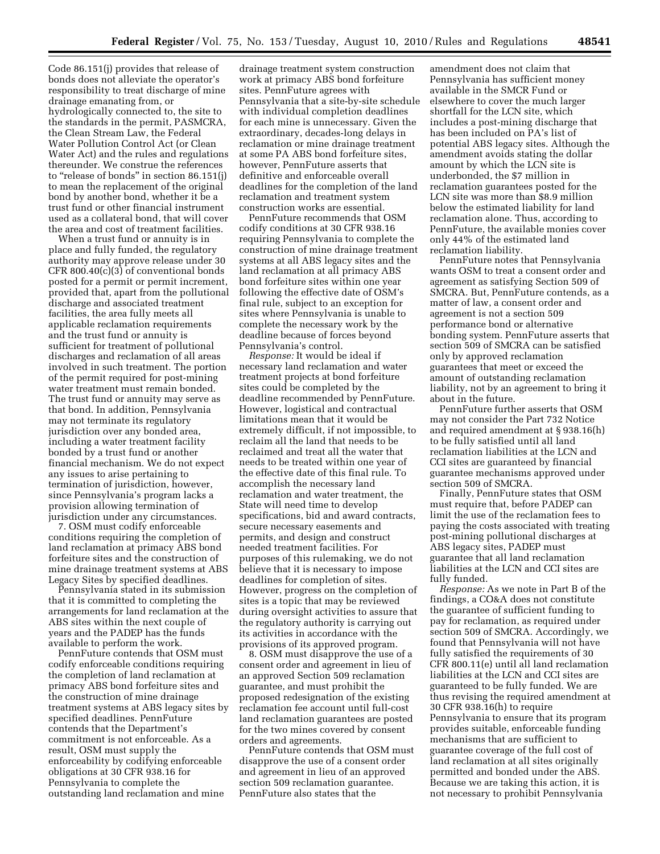Code 86.151(j) provides that release of bonds does not alleviate the operator's responsibility to treat discharge of mine drainage emanating from, or hydrologically connected to, the site to the standards in the permit, PASMCRA, the Clean Stream Law, the Federal Water Pollution Control Act (or Clean Water Act) and the rules and regulations thereunder. We construe the references to "release of bonds" in section 86.151(j) to mean the replacement of the original bond by another bond, whether it be a trust fund or other financial instrument used as a collateral bond, that will cover the area and cost of treatment facilities.

When a trust fund or annuity is in place and fully funded, the regulatory authority may approve release under 30 CFR 800.40(c)(3) of conventional bonds posted for a permit or permit increment, provided that, apart from the pollutional discharge and associated treatment facilities, the area fully meets all applicable reclamation requirements and the trust fund or annuity is sufficient for treatment of pollutional discharges and reclamation of all areas involved in such treatment. The portion of the permit required for post-mining water treatment must remain bonded. The trust fund or annuity may serve as that bond. In addition, Pennsylvania may not terminate its regulatory jurisdiction over any bonded area, including a water treatment facility bonded by a trust fund or another financial mechanism. We do not expect any issues to arise pertaining to termination of jurisdiction, however, since Pennsylvania's program lacks a provision allowing termination of jurisdiction under any circumstances.

7. OSM must codify enforceable conditions requiring the completion of land reclamation at primacy ABS bond forfeiture sites and the construction of mine drainage treatment systems at ABS Legacy Sites by specified deadlines.

Pennsylvania stated in its submission that it is committed to completing the arrangements for land reclamation at the ABS sites within the next couple of years and the PADEP has the funds available to perform the work.

PennFuture contends that OSM must codify enforceable conditions requiring the completion of land reclamation at primacy ABS bond forfeiture sites and the construction of mine drainage treatment systems at ABS legacy sites by specified deadlines. PennFuture contends that the Department's commitment is not enforceable. As a result, OSM must supply the enforceability by codifying enforceable obligations at 30 CFR 938.16 for Pennsylvania to complete the outstanding land reclamation and mine

drainage treatment system construction work at primacy ABS bond forfeiture sites. PennFuture agrees with Pennsylvania that a site-by-site schedule with individual completion deadlines for each mine is unnecessary. Given the extraordinary, decades-long delays in reclamation or mine drainage treatment at some PA ABS bond forfeiture sites, however, PennFuture asserts that definitive and enforceable overall deadlines for the completion of the land reclamation and treatment system construction works are essential.

PennFuture recommends that OSM codify conditions at 30 CFR 938.16 requiring Pennsylvania to complete the construction of mine drainage treatment systems at all ABS legacy sites and the land reclamation at all primacy ABS bond forfeiture sites within one year following the effective date of OSM's final rule, subject to an exception for sites where Pennsylvania is unable to complete the necessary work by the deadline because of forces beyond Pennsylvania's control.

*Response:* It would be ideal if necessary land reclamation and water treatment projects at bond forfeiture sites could be completed by the deadline recommended by PennFuture. However, logistical and contractual limitations mean that it would be extremely difficult, if not impossible, to reclaim all the land that needs to be reclaimed and treat all the water that needs to be treated within one year of the effective date of this final rule. To accomplish the necessary land reclamation and water treatment, the State will need time to develop specifications, bid and award contracts, secure necessary easements and permits, and design and construct needed treatment facilities. For purposes of this rulemaking, we do not believe that it is necessary to impose deadlines for completion of sites. However, progress on the completion of sites is a topic that may be reviewed during oversight activities to assure that the regulatory authority is carrying out its activities in accordance with the provisions of its approved program.

8. OSM must disapprove the use of a consent order and agreement in lieu of an approved Section 509 reclamation guarantee, and must prohibit the proposed redesignation of the existing reclamation fee account until full-cost land reclamation guarantees are posted for the two mines covered by consent orders and agreements.

PennFuture contends that OSM must disapprove the use of a consent order and agreement in lieu of an approved section 509 reclamation guarantee. PennFuture also states that the

amendment does not claim that Pennsylvania has sufficient money available in the SMCR Fund or elsewhere to cover the much larger shortfall for the LCN site, which includes a post-mining discharge that has been included on PA's list of potential ABS legacy sites. Although the amendment avoids stating the dollar amount by which the LCN site is underbonded, the \$7 million in reclamation guarantees posted for the LCN site was more than \$8.9 million below the estimated liability for land reclamation alone. Thus, according to PennFuture, the available monies cover only 44% of the estimated land reclamation liability.

PennFuture notes that Pennsylvania wants OSM to treat a consent order and agreement as satisfying Section 509 of SMCRA. But, PennFuture contends, as a matter of law, a consent order and agreement is not a section 509 performance bond or alternative bonding system. PennFuture asserts that section 509 of SMCRA can be satisfied only by approved reclamation guarantees that meet or exceed the amount of outstanding reclamation liability, not by an agreement to bring it about in the future.

PennFuture further asserts that OSM may not consider the Part 732 Notice and required amendment at § 938.16(h) to be fully satisfied until all land reclamation liabilities at the LCN and CCI sites are guaranteed by financial guarantee mechanisms approved under section 509 of SMCRA.

Finally, PennFuture states that OSM must require that, before PADEP can limit the use of the reclamation fees to paying the costs associated with treating post-mining pollutional discharges at ABS legacy sites, PADEP must guarantee that all land reclamation liabilities at the LCN and CCI sites are fully funded.

*Response:* As we note in Part B of the findings, a CO&A does not constitute the guarantee of sufficient funding to pay for reclamation, as required under section 509 of SMCRA. Accordingly, we found that Pennsylvania will not have fully satisfied the requirements of 30 CFR 800.11(e) until all land reclamation liabilities at the LCN and CCI sites are guaranteed to be fully funded. We are thus revising the required amendment at 30 CFR 938.16(h) to require Pennsylvania to ensure that its program provides suitable, enforceable funding mechanisms that are sufficient to guarantee coverage of the full cost of land reclamation at all sites originally permitted and bonded under the ABS. Because we are taking this action, it is not necessary to prohibit Pennsylvania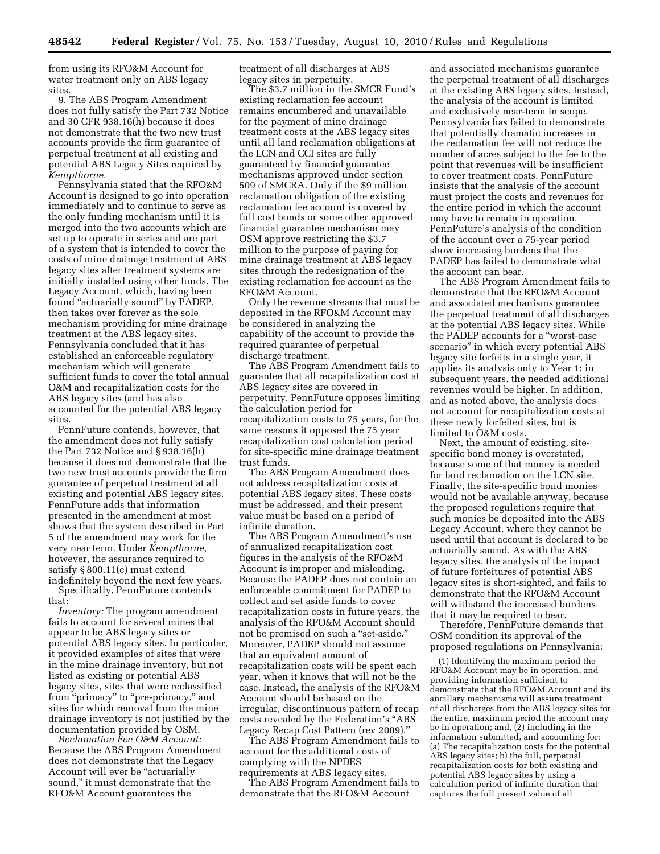from using its RFO&M Account for water treatment only on ABS legacy sites

9. The ABS Program Amendment does not fully satisfy the Part 732 Notice and 30 CFR 938.16(h) because it does not demonstrate that the two new trust accounts provide the firm guarantee of perpetual treatment at all existing and potential ABS Legacy Sites required by *Kempthorne.* 

Pennsylvania stated that the RFO&M Account is designed to go into operation immediately and to continue to serve as the only funding mechanism until it is merged into the two accounts which are set up to operate in series and are part of a system that is intended to cover the costs of mine drainage treatment at ABS legacy sites after treatment systems are initially installed using other funds. The Legacy Account, which, having been found ''actuarially sound'' by PADEP, then takes over forever as the sole mechanism providing for mine drainage treatment at the ABS legacy sites. Pennsylvania concluded that it has established an enforceable regulatory mechanism which will generate sufficient funds to cover the total annual O&M and recapitalization costs for the ABS legacy sites (and has also accounted for the potential ABS legacy sites.

PennFuture contends, however, that the amendment does not fully satisfy the Part 732 Notice and § 938.16(h) because it does not demonstrate that the two new trust accounts provide the firm guarantee of perpetual treatment at all existing and potential ABS legacy sites. PennFuture adds that information presented in the amendment at most shows that the system described in Part 5 of the amendment may work for the very near term. Under *Kempthorne,*  however, the assurance required to satisfy § 800.11(e) must extend indefinitely beyond the next few years. Specifically, PennFuture contends that:

*Inventory:* The program amendment fails to account for several mines that appear to be ABS legacy sites or potential ABS legacy sites. In particular, it provided examples of sites that were in the mine drainage inventory, but not listed as existing or potential ABS legacy sites, sites that were reclassified from "primacy" to "pre-primacy," and sites for which removal from the mine drainage inventory is not justified by the documentation provided by OSM.

*Reclamation Fee O&M Account:*  Because the ABS Program Amendment does not demonstrate that the Legacy Account will ever be "actuarially sound,'' it must demonstrate that the RFO&M Account guarantees the

treatment of all discharges at ABS legacy sites in perpetuity.

The \$3.7 million in the SMCR Fund's existing reclamation fee account remains encumbered and unavailable for the payment of mine drainage treatment costs at the ABS legacy sites until all land reclamation obligations at the LCN and CCI sites are fully guaranteed by financial guarantee mechanisms approved under section 509 of SMCRA. Only if the \$9 million reclamation obligation of the existing reclamation fee account is covered by full cost bonds or some other approved financial guarantee mechanism may OSM approve restricting the \$3.7 million to the purpose of paying for mine drainage treatment at ABS legacy sites through the redesignation of the existing reclamation fee account as the RFO&M Account.

Only the revenue streams that must be deposited in the RFO&M Account may be considered in analyzing the capability of the account to provide the required guarantee of perpetual discharge treatment.

The ABS Program Amendment fails to guarantee that all recapitalization cost at ABS legacy sites are covered in perpetuity. PennFuture opposes limiting the calculation period for recapitalization costs to 75 years, for the same reasons it opposed the 75 year recapitalization cost calculation period for site-specific mine drainage treatment trust funds.

The ABS Program Amendment does not address recapitalization costs at potential ABS legacy sites. These costs must be addressed, and their present value must be based on a period of infinite duration.

The ABS Program Amendment's use of annualized recapitalization cost figures in the analysis of the RFO&M Account is improper and misleading. Because the PADEP does not contain an enforceable commitment for PADEP to collect and set aside funds to cover recapitalization costs in future years, the analysis of the RFO&M Account should not be premised on such a "set-aside." Moreover, PADEP should not assume that an equivalent amount of recapitalization costs will be spent each year, when it knows that will not be the case. Instead, the analysis of the RFO&M Account should be based on the irregular, discontinuous pattern of recap costs revealed by the Federation's ''ABS Legacy Recap Cost Pattern (rev 2009).''

The ABS Program Amendment fails to account for the additional costs of complying with the NPDES requirements at ABS legacy sites.

The ABS Program Amendment fails to demonstrate that the RFO&M Account

and associated mechanisms guarantee the perpetual treatment of all discharges at the existing ABS legacy sites. Instead, the analysis of the account is limited and exclusively near-term in scope. Pennsylvania has failed to demonstrate that potentially dramatic increases in the reclamation fee will not reduce the number of acres subject to the fee to the point that revenues will be insufficient to cover treatment costs. PennFuture insists that the analysis of the account must project the costs and revenues for the entire period in which the account may have to remain in operation. PennFuture's analysis of the condition of the account over a 75-year period show increasing burdens that the PADEP has failed to demonstrate what the account can bear.

The ABS Program Amendment fails to demonstrate that the RFO&M Account and associated mechanisms guarantee the perpetual treatment of all discharges at the potential ABS legacy sites. While the PADEP accounts for a ''worst-case scenario'' in which every potential ABS legacy site forfeits in a single year, it applies its analysis only to Year 1; in subsequent years, the needed additional revenues would be higher. In addition, and as noted above, the analysis does not account for recapitalization costs at these newly forfeited sites, but is limited to O&M costs.

Next, the amount of existing, sitespecific bond money is overstated, because some of that money is needed for land reclamation on the LCN site. Finally, the site-specific bond monies would not be available anyway, because the proposed regulations require that such monies be deposited into the ABS Legacy Account, where they cannot be used until that account is declared to be actuarially sound. As with the ABS legacy sites, the analysis of the impact of future forfeitures of potential ABS legacy sites is short-sighted, and fails to demonstrate that the RFO&M Account will withstand the increased burdens that it may be required to bear.

Therefore, PennFuture demands that OSM condition its approval of the proposed regulations on Pennsylvania:

(1) Identifying the maximum period the RFO&M Account may be in operation, and providing information sufficient to demonstrate that the RFO&M Account and its ancillary mechanisms will assure treatment of all discharges from the ABS legacy sites for the entire, maximum period the account may be in operation; and, (2) including in the information submitted, and accounting for: (a) The recapitalization costs for the potential ABS legacy sites; b) the full, perpetual recapitalization costs for both existing and potential ABS legacy sites by using a calculation period of infinite duration that captures the full present value of all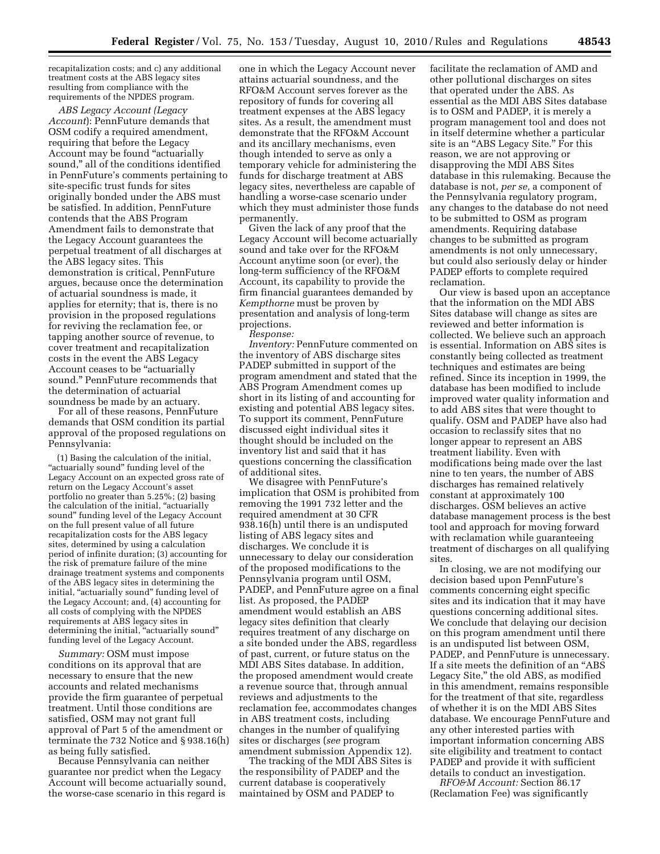recapitalization costs; and c) any additional treatment costs at the ABS legacy sites resulting from compliance with the requirements of the NPDES program.

*ABS Legacy Account (Legacy Account*): PennFuture demands that OSM codify a required amendment, requiring that before the Legacy Account may be found ''actuarially sound,'' all of the conditions identified in PennFuture's comments pertaining to site-specific trust funds for sites originally bonded under the ABS must be satisfied. In addition, PennFuture contends that the ABS Program Amendment fails to demonstrate that the Legacy Account guarantees the perpetual treatment of all discharges at the ABS legacy sites. This demonstration is critical, PennFuture argues, because once the determination of actuarial soundness is made, it applies for eternity; that is, there is no provision in the proposed regulations for reviving the reclamation fee, or tapping another source of revenue, to cover treatment and recapitalization costs in the event the ABS Legacy Account ceases to be ''actuarially sound.'' PennFuture recommends that the determination of actuarial soundness be made by an actuary.

For all of these reasons, PennFuture demands that OSM condition its partial approval of the proposed regulations on Pennsylvania:

(1) Basing the calculation of the initial, "actuarially sound" funding level of the Legacy Account on an expected gross rate of return on the Legacy Account's asset portfolio no greater than 5.25%; (2) basing the calculation of the initial, "actuarially sound'' funding level of the Legacy Account on the full present value of all future recapitalization costs for the ABS legacy sites, determined by using a calculation period of infinite duration; (3) accounting for the risk of premature failure of the mine drainage treatment systems and components of the ABS legacy sites in determining the initial, "actuarially sound" funding level of the Legacy Account; and, (4) accounting for all costs of complying with the NPDES requirements at ABS legacy sites in determining the initial, "actuarially sound" funding level of the Legacy Account.

*Summary:* OSM must impose conditions on its approval that are necessary to ensure that the new accounts and related mechanisms provide the firm guarantee of perpetual treatment. Until those conditions are satisfied, OSM may not grant full approval of Part 5 of the amendment or terminate the 732 Notice and § 938.16(h) as being fully satisfied.

Because Pennsylvania can neither guarantee nor predict when the Legacy Account will become actuarially sound, the worse-case scenario in this regard is

one in which the Legacy Account never attains actuarial soundness, and the RFO&M Account serves forever as the repository of funds for covering all treatment expenses at the ABS legacy sites. As a result, the amendment must demonstrate that the RFO&M Account and its ancillary mechanisms, even though intended to serve as only a temporary vehicle for administering the funds for discharge treatment at ABS legacy sites, nevertheless are capable of handling a worse-case scenario under which they must administer those funds permanently.

Given the lack of any proof that the Legacy Account will become actuarially sound and take over for the RFO&M Account anytime soon (or ever), the long-term sufficiency of the RFO&M Account, its capability to provide the firm financial guarantees demanded by *Kempthorne* must be proven by presentation and analysis of long-term projections.

*Response:* 

*Inventory:* PennFuture commented on the inventory of ABS discharge sites PADEP submitted in support of the program amendment and stated that the ABS Program Amendment comes up short in its listing of and accounting for existing and potential ABS legacy sites. To support its comment, PennFuture discussed eight individual sites it thought should be included on the inventory list and said that it has questions concerning the classification of additional sites.

We disagree with PennFuture's implication that OSM is prohibited from removing the 1991 732 letter and the required amendment at 30 CFR 938.16(h) until there is an undisputed listing of ABS legacy sites and discharges. We conclude it is unnecessary to delay our consideration of the proposed modifications to the Pennsylvania program until OSM, PADEP, and PennFuture agree on a final list. As proposed, the PADEP amendment would establish an ABS legacy sites definition that clearly requires treatment of any discharge on a site bonded under the ABS, regardless of past, current, or future status on the MDI ABS Sites database. In addition, the proposed amendment would create a revenue source that, through annual reviews and adjustments to the reclamation fee, accommodates changes in ABS treatment costs, including changes in the number of qualifying sites or discharges (*see* program amendment submission Appendix 12).

The tracking of the MDI ABS Sites is the responsibility of PADEP and the current database is cooperatively maintained by OSM and PADEP to

facilitate the reclamation of AMD and other pollutional discharges on sites that operated under the ABS. As essential as the MDI ABS Sites database is to OSM and PADEP, it is merely a program management tool and does not in itself determine whether a particular site is an "ABS Legacy Site." For this reason, we are not approving or disapproving the MDI ABS Sites database in this rulemaking. Because the database is not, *per se,* a component of the Pennsylvania regulatory program, any changes to the database do not need to be submitted to OSM as program amendments. Requiring database changes to be submitted as program amendments is not only unnecessary, but could also seriously delay or hinder PADEP efforts to complete required reclamation.

Our view is based upon an acceptance that the information on the MDI ABS Sites database will change as sites are reviewed and better information is collected. We believe such an approach is essential. Information on ABS sites is constantly being collected as treatment techniques and estimates are being refined. Since its inception in 1999, the database has been modified to include improved water quality information and to add ABS sites that were thought to qualify. OSM and PADEP have also had occasion to reclassify sites that no longer appear to represent an ABS treatment liability. Even with modifications being made over the last nine to ten years, the number of ABS discharges has remained relatively constant at approximately 100 discharges. OSM believes an active database management process is the best tool and approach for moving forward with reclamation while guaranteeing treatment of discharges on all qualifying sites.

In closing, we are not modifying our decision based upon PennFuture's comments concerning eight specific sites and its indication that it may have questions concerning additional sites. We conclude that delaying our decision on this program amendment until there is an undisputed list between OSM, PADEP, and PennFuture is unnecessary. If a site meets the definition of an ''ABS Legacy Site,'' the old ABS, as modified in this amendment, remains responsible for the treatment of that site, regardless of whether it is on the MDI ABS Sites database. We encourage PennFuture and any other interested parties with important information concerning ABS site eligibility and treatment to contact PADEP and provide it with sufficient details to conduct an investigation.

*RFO&M Account:* Section 86.17 (Reclamation Fee) was significantly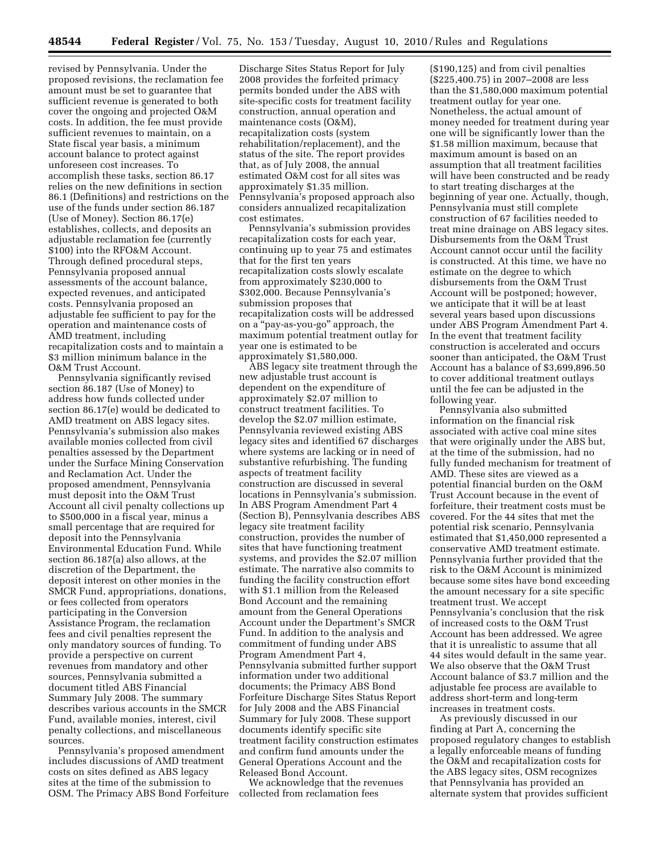revised by Pennsylvania. Under the proposed revisions, the reclamation fee amount must be set to guarantee that sufficient revenue is generated to both cover the ongoing and projected O&M costs. In addition, the fee must provide sufficient revenues to maintain, on a State fiscal year basis, a minimum account balance to protect against unforeseen cost increases. To accomplish these tasks, section 86.17 relies on the new definitions in section 86.1 (Definitions) and restrictions on the use of the funds under section 86.187 (Use of Money). Section 86.17(e) establishes, collects, and deposits an adjustable reclamation fee (currently \$100) into the RFO&M Account. Through defined procedural steps, Pennsylvania proposed annual assessments of the account balance, expected revenues, and anticipated costs. Pennsylvania proposed an adjustable fee sufficient to pay for the operation and maintenance costs of AMD treatment, including recapitalization costs and to maintain a \$3 million minimum balance in the O&M Trust Account.

Pennsylvania significantly revised section 86.187 (Use of Money) to address how funds collected under section 86.17(e) would be dedicated to AMD treatment on ABS legacy sites. Pennsylvania's submission also makes available monies collected from civil penalties assessed by the Department under the Surface Mining Conservation and Reclamation Act. Under the proposed amendment, Pennsylvania must deposit into the O&M Trust Account all civil penalty collections up to \$500,000 in a fiscal year, minus a small percentage that are required for deposit into the Pennsylvania Environmental Education Fund. While section 86.187(a) also allows, at the discretion of the Department, the deposit interest on other monies in the SMCR Fund, appropriations, donations, or fees collected from operators participating in the Conversion Assistance Program, the reclamation fees and civil penalties represent the only mandatory sources of funding. To provide a perspective on current revenues from mandatory and other sources, Pennsylvania submitted a document titled ABS Financial Summary July 2008. The summary describes various accounts in the SMCR Fund, available monies, interest, civil penalty collections, and miscellaneous sources.

Pennsylvania's proposed amendment includes discussions of AMD treatment costs on sites defined as ABS legacy sites at the time of the submission to OSM. The Primacy ABS Bond Forfeiture

Discharge Sites Status Report for July 2008 provides the forfeited primacy permits bonded under the ABS with site-specific costs for treatment facility construction, annual operation and maintenance costs (O&M), recapitalization costs (system rehabilitation/replacement), and the status of the site. The report provides that, as of July 2008, the annual estimated O&M cost for all sites was approximately \$1.35 million. Pennsylvania's proposed approach also considers annualized recapitalization cost estimates.

Pennsylvania's submission provides recapitalization costs for each year, continuing up to year 75 and estimates that for the first ten years recapitalization costs slowly escalate from approximately \$230,000 to \$302,000. Because Pennsylvania's submission proposes that recapitalization costs will be addressed on a ''pay-as-you-go'' approach, the maximum potential treatment outlay for year one is estimated to be approximately \$1,580,000.

ABS legacy site treatment through the new adjustable trust account is dependent on the expenditure of approximately \$2.07 million to construct treatment facilities. To develop the \$2.07 million estimate, Pennsylvania reviewed existing ABS legacy sites and identified 67 discharges where systems are lacking or in need of substantive refurbishing. The funding aspects of treatment facility construction are discussed in several locations in Pennsylvania's submission. In ABS Program Amendment Part 4 (Section B), Pennsylvania describes ABS legacy site treatment facility construction, provides the number of sites that have functioning treatment systems, and provides the \$2.07 million estimate. The narrative also commits to funding the facility construction effort with \$1.1 million from the Released Bond Account and the remaining amount from the General Operations Account under the Department's SMCR Fund. In addition to the analysis and commitment of funding under ABS Program Amendment Part 4, Pennsylvania submitted further support information under two additional documents; the Primacy ABS Bond Forfeiture Discharge Sites Status Report for July 2008 and the ABS Financial Summary for July 2008. These support documents identify specific site treatment facility construction estimates and confirm fund amounts under the General Operations Account and the Released Bond Account.

We acknowledge that the revenues collected from reclamation fees

(\$190,125) and from civil penalties (\$225,400.75) in 2007–2008 are less than the \$1,580,000 maximum potential treatment outlay for year one. Nonetheless, the actual amount of money needed for treatment during year one will be significantly lower than the \$1.58 million maximum, because that maximum amount is based on an assumption that all treatment facilities will have been constructed and be ready to start treating discharges at the beginning of year one. Actually, though, Pennsylvania must still complete construction of 67 facilities needed to treat mine drainage on ABS legacy sites. Disbursements from the O&M Trust Account cannot occur until the facility is constructed. At this time, we have no estimate on the degree to which disbursements from the O&M Trust Account will be postponed; however, we anticipate that it will be at least several years based upon discussions under ABS Program Amendment Part 4. In the event that treatment facility construction is accelerated and occurs sooner than anticipated, the O&M Trust Account has a balance of \$3,699,896.50 to cover additional treatment outlays until the fee can be adjusted in the following year.

Pennsylvania also submitted information on the financial risk associated with active coal mine sites that were originally under the ABS but, at the time of the submission, had no fully funded mechanism for treatment of AMD. These sites are viewed as a potential financial burden on the O&M Trust Account because in the event of forfeiture, their treatment costs must be covered. For the 44 sites that met the potential risk scenario, Pennsylvania estimated that \$1,450,000 represented a conservative AMD treatment estimate. Pennsylvania further provided that the risk to the O&M Account is minimized because some sites have bond exceeding the amount necessary for a site specific treatment trust. We accept Pennsylvania's conclusion that the risk of increased costs to the O&M Trust Account has been addressed. We agree that it is unrealistic to assume that all 44 sites would default in the same year. We also observe that the O&M Trust Account balance of \$3.7 million and the adjustable fee process are available to address short-term and long-term increases in treatment costs.

As previously discussed in our finding at Part A, concerning the proposed regulatory changes to establish a legally enforceable means of funding the O&M and recapitalization costs for the ABS legacy sites, OSM recognizes that Pennsylvania has provided an alternate system that provides sufficient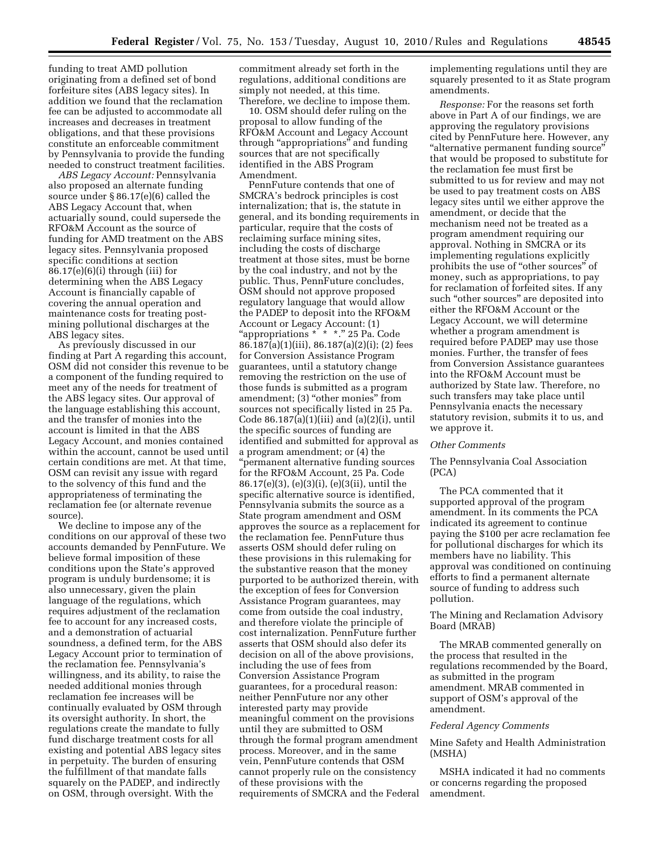funding to treat AMD pollution originating from a defined set of bond forfeiture sites (ABS legacy sites). In addition we found that the reclamation fee can be adjusted to accommodate all increases and decreases in treatment obligations, and that these provisions constitute an enforceable commitment by Pennsylvania to provide the funding needed to construct treatment facilities.

*ABS Legacy Account:* Pennsylvania also proposed an alternate funding source under § 86.17(e)(6) called the ABS Legacy Account that, when actuarially sound, could supersede the RFO&M Account as the source of funding for AMD treatment on the ABS legacy sites. Pennsylvania proposed specific conditions at section  $86.17(e)(6)(i)$  through (iii) for determining when the ABS Legacy Account is financially capable of covering the annual operation and maintenance costs for treating postmining pollutional discharges at the ABS legacy sites.

As previously discussed in our finding at Part A regarding this account, OSM did not consider this revenue to be a component of the funding required to meet any of the needs for treatment of the ABS legacy sites. Our approval of the language establishing this account, and the transfer of monies into the account is limited in that the ABS Legacy Account, and monies contained within the account, cannot be used until certain conditions are met. At that time, OSM can revisit any issue with regard to the solvency of this fund and the appropriateness of terminating the reclamation fee (or alternate revenue source).

We decline to impose any of the conditions on our approval of these two accounts demanded by PennFuture. We believe formal imposition of these conditions upon the State's approved program is unduly burdensome; it is also unnecessary, given the plain language of the regulations, which requires adjustment of the reclamation fee to account for any increased costs, and a demonstration of actuarial soundness, a defined term, for the ABS Legacy Account prior to termination of the reclamation fee. Pennsylvania's willingness, and its ability, to raise the needed additional monies through reclamation fee increases will be continually evaluated by OSM through its oversight authority. In short, the regulations create the mandate to fully fund discharge treatment costs for all existing and potential ABS legacy sites in perpetuity. The burden of ensuring the fulfillment of that mandate falls squarely on the PADEP, and indirectly on OSM, through oversight. With the

commitment already set forth in the regulations, additional conditions are simply not needed, at this time. Therefore, we decline to impose them.

10. OSM should defer ruling on the proposal to allow funding of the RFO&M Account and Legacy Account through ''appropriations'' and funding sources that are not specifically identified in the ABS Program Amendment.

PennFuture contends that one of SMCRA's bedrock principles is cost internalization; that is, the statute in general, and its bonding requirements in particular, require that the costs of reclaiming surface mining sites, including the costs of discharge treatment at those sites, must be borne by the coal industry, and not by the public. Thus, PennFuture concludes, OSM should not approve proposed regulatory language that would allow the PADEP to deposit into the RFO&M Account or Legacy Account: (1) ''appropriations \* \* \*.'' 25 Pa. Code 86.187(a)(1)(iii), 86.187(a)(2)(i); (2) fees for Conversion Assistance Program guarantees, until a statutory change removing the restriction on the use of those funds is submitted as a program amendment; (3) "other monies" from sources not specifically listed in 25 Pa. Code  $86.187(a)(1)(iii)$  and  $(a)(2)(i)$ , until the specific sources of funding are identified and submitted for approval as a program amendment; or (4) the ''permanent alternative funding sources for the RFO&M Account, 25 Pa. Code 86.17(e)(3), (e)(3)(i), (e)(3(ii), until the specific alternative source is identified, Pennsylvania submits the source as a State program amendment and OSM approves the source as a replacement for the reclamation fee. PennFuture thus asserts OSM should defer ruling on these provisions in this rulemaking for the substantive reason that the money purported to be authorized therein, with the exception of fees for Conversion Assistance Program guarantees, may come from outside the coal industry, and therefore violate the principle of cost internalization. PennFuture further asserts that OSM should also defer its decision on all of the above provisions, including the use of fees from Conversion Assistance Program guarantees, for a procedural reason: neither PennFuture nor any other interested party may provide meaningful comment on the provisions until they are submitted to OSM through the formal program amendment process. Moreover, and in the same vein, PennFuture contends that OSM cannot properly rule on the consistency of these provisions with the requirements of SMCRA and the Federal

implementing regulations until they are squarely presented to it as State program amendments.

*Response:* For the reasons set forth above in Part A of our findings, we are approving the regulatory provisions cited by PennFuture here. However, any ''alternative permanent funding source'' that would be proposed to substitute for the reclamation fee must first be submitted to us for review and may not be used to pay treatment costs on ABS legacy sites until we either approve the amendment, or decide that the mechanism need not be treated as a program amendment requiring our approval. Nothing in SMCRA or its implementing regulations explicitly prohibits the use of ''other sources'' of money, such as appropriations, to pay for reclamation of forfeited sites. If any such "other sources" are deposited into either the RFO&M Account or the Legacy Account, we will determine whether a program amendment is required before PADEP may use those monies. Further, the transfer of fees from Conversion Assistance guarantees into the RFO&M Account must be authorized by State law. Therefore, no such transfers may take place until Pennsylvania enacts the necessary statutory revision, submits it to us, and we approve it.

#### *Other Comments*

The Pennsylvania Coal Association (PCA)

The PCA commented that it supported approval of the program amendment. In its comments the PCA indicated its agreement to continue paying the \$100 per acre reclamation fee for pollutional discharges for which its members have no liability. This approval was conditioned on continuing efforts to find a permanent alternate source of funding to address such pollution.

The Mining and Reclamation Advisory Board (MRAB)

The MRAB commented generally on the process that resulted in the regulations recommended by the Board, as submitted in the program amendment. MRAB commented in support of OSM's approval of the amendment.

#### *Federal Agency Comments*

#### Mine Safety and Health Administration (MSHA)

MSHA indicated it had no comments or concerns regarding the proposed amendment.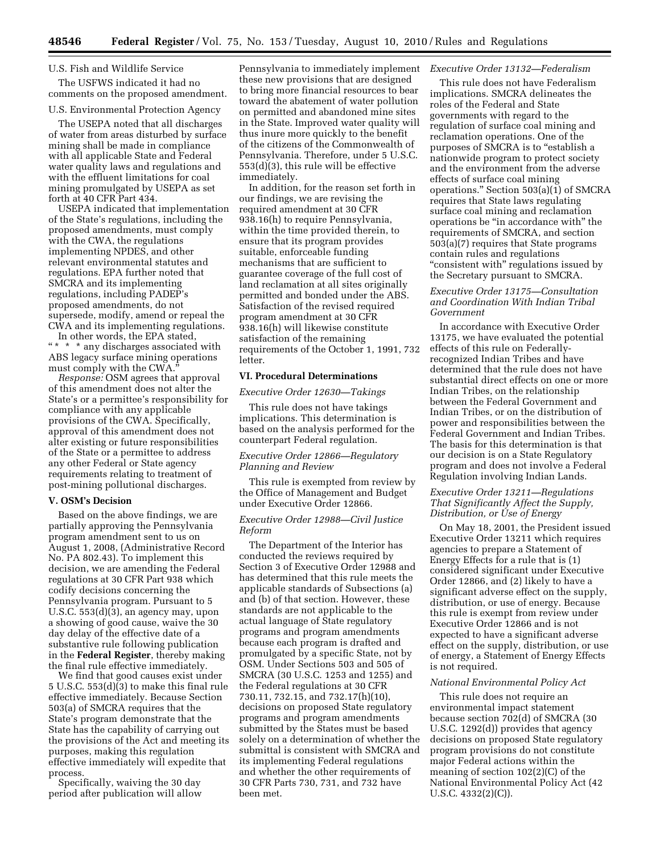#### U.S. Fish and Wildlife Service

The USFWS indicated it had no comments on the proposed amendment.

#### U.S. Environmental Protection Agency

The USEPA noted that all discharges of water from areas disturbed by surface mining shall be made in compliance with all applicable State and Federal water quality laws and regulations and with the effluent limitations for coal mining promulgated by USEPA as set forth at 40 CFR Part 434.

USEPA indicated that implementation of the State's regulations, including the proposed amendments, must comply with the CWA, the regulations implementing NPDES, and other relevant environmental statutes and regulations. EPA further noted that SMCRA and its implementing regulations, including PADEP's proposed amendments, do not supersede, modify, amend or repeal the CWA and its implementing regulations.

In other words, the EPA stated,  $\lq^* \star \lq^*$  any discharges associated with ABS legacy surface mining operations must comply with the CWA.''

*Response:* OSM agrees that approval of this amendment does not alter the State's or a permittee's responsibility for compliance with any applicable provisions of the CWA. Specifically, approval of this amendment does not alter existing or future responsibilities of the State or a permittee to address any other Federal or State agency requirements relating to treatment of post-mining pollutional discharges.

#### **V. OSM's Decision**

Based on the above findings, we are partially approving the Pennsylvania program amendment sent to us on August 1, 2008, (Administrative Record No. PA 802.43). To implement this decision, we are amending the Federal regulations at 30 CFR Part 938 which codify decisions concerning the Pennsylvania program. Pursuant to 5 U.S.C.  $553(d)(3)$ , an agency may, upon a showing of good cause, waive the 30 day delay of the effective date of a substantive rule following publication in the **Federal Register**, thereby making the final rule effective immediately.

We find that good causes exist under  $5 \text{ U.S.C. } 553\text{ (d)}\text{ (3) to make this final rule}$ effective immediately. Because Section 503(a) of SMCRA requires that the State's program demonstrate that the State has the capability of carrying out the provisions of the Act and meeting its purposes, making this regulation effective immediately will expedite that process.

Specifically, waiving the 30 day period after publication will allow

Pennsylvania to immediately implement *Executive Order 13132—Federalism*  these new provisions that are designed to bring more financial resources to bear toward the abatement of water pollution on permitted and abandoned mine sites in the State. Improved water quality will thus inure more quickly to the benefit of the citizens of the Commonwealth of Pennsylvania. Therefore, under 5 U.S.C. 553(d)(3), this rule will be effective immediately.

In addition, for the reason set forth in our findings, we are revising the required amendment at 30 CFR 938.16(h) to require Pennsylvania, within the time provided therein, to ensure that its program provides suitable, enforceable funding mechanisms that are sufficient to guarantee coverage of the full cost of land reclamation at all sites originally permitted and bonded under the ABS. Satisfaction of the revised required program amendment at 30 CFR 938.16(h) will likewise constitute satisfaction of the remaining requirements of the October 1, 1991, 732 letter.

#### **VI. Procedural Determinations**

*Executive Order 12630—Takings* 

This rule does not have takings implications. This determination is based on the analysis performed for the counterpart Federal regulation.

### *Executive Order 12866—Regulatory Planning and Review*

This rule is exempted from review by the Office of Management and Budget under Executive Order 12866.

#### *Executive Order 12988—Civil Justice Reform*

The Department of the Interior has conducted the reviews required by Section 3 of Executive Order 12988 and has determined that this rule meets the applicable standards of Subsections (a) and (b) of that section. However, these standards are not applicable to the actual language of State regulatory programs and program amendments because each program is drafted and promulgated by a specific State, not by OSM. Under Sections 503 and 505 of SMCRA (30 U.S.C. 1253 and 1255) and the Federal regulations at 30 CFR 730.11, 732.15, and 732.17(h)(10), decisions on proposed State regulatory programs and program amendments submitted by the States must be based solely on a determination of whether the submittal is consistent with SMCRA and its implementing Federal regulations and whether the other requirements of 30 CFR Parts 730, 731, and 732 have been met.

This rule does not have Federalism implications. SMCRA delineates the roles of the Federal and State governments with regard to the regulation of surface coal mining and reclamation operations. One of the purposes of SMCRA is to "establish a nationwide program to protect society and the environment from the adverse effects of surface coal mining operations.'' Section 503(a)(1) of SMCRA requires that State laws regulating surface coal mining and reclamation operations be ''in accordance with'' the requirements of SMCRA, and section 503(a)(7) requires that State programs contain rules and regulations ''consistent with'' regulations issued by the Secretary pursuant to SMCRA.

#### *Executive Order 13175—Consultation and Coordination With Indian Tribal Government*

In accordance with Executive Order 13175, we have evaluated the potential effects of this rule on Federallyrecognized Indian Tribes and have determined that the rule does not have substantial direct effects on one or more Indian Tribes, on the relationship between the Federal Government and Indian Tribes, or on the distribution of power and responsibilities between the Federal Government and Indian Tribes. The basis for this determination is that our decision is on a State Regulatory program and does not involve a Federal Regulation involving Indian Lands.

#### *Executive Order 13211—Regulations That Significantly Affect the Supply, Distribution, or Use of Energy*

On May 18, 2001, the President issued Executive Order 13211 which requires agencies to prepare a Statement of Energy Effects for a rule that is (1) considered significant under Executive Order 12866, and (2) likely to have a significant adverse effect on the supply, distribution, or use of energy. Because this rule is exempt from review under Executive Order 12866 and is not expected to have a significant adverse effect on the supply, distribution, or use of energy, a Statement of Energy Effects is not required.

#### *National Environmental Policy Act*

This rule does not require an environmental impact statement because section 702(d) of SMCRA (30 U.S.C. 1292(d)) provides that agency decisions on proposed State regulatory program provisions do not constitute major Federal actions within the meaning of section 102(2)(C) of the National Environmental Policy Act (42 U.S.C. 4332(2)(C)).